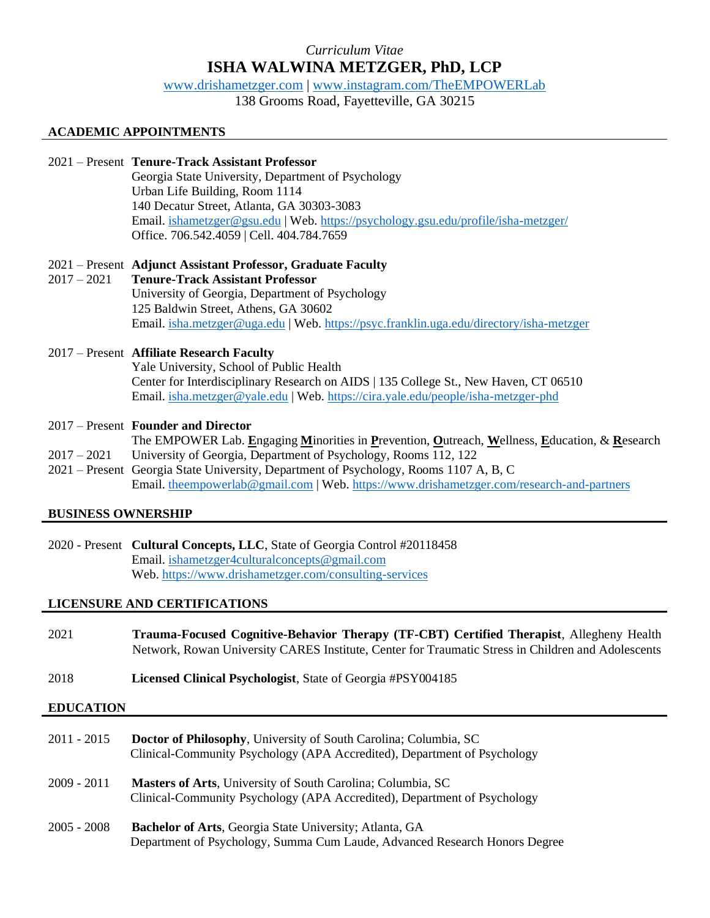# *Curriculum Vitae* **ISHA WALWINA METZGER, PhD, LCP**

[www.drishametzger.com](http://www.drishametzger.com/) | [www.instagram.com/TheEMPOWERLab](http://www.instagram.com/TheEMPOWERLab)

138 Grooms Road, Fayetteville, GA 30215

# **ACADEMIC APPOINTMENTS**

# 2021 – Present **Tenure-Track Assistant Professor**

Georgia State University, Department of Psychology Urban Life Building, Room 1114 140 Decatur Street, Atlanta, GA 30303-3083 Email. [ishametzger@gsu.edu](mailto:ishametzger@gsu.edu) | Web.<https://psychology.gsu.edu/profile/isha-metzger/> Office. 706.542.4059 | Cell. 404.784.7659

# 2021 – Present **Adjunct Assistant Professor, Graduate Faculty**

2017 – 2021 **Tenure-Track Assistant Professor** University of Georgia, Department of Psychology 125 Baldwin Street, Athens, GA 30602 Email. [isha.metzger@uga.edu](mailto:isha.metzger@uga.edu) | Web[. https://psyc.franklin.uga.edu/directory/isha-metzger](https://psyc.franklin.uga.edu/directory/isha-metzger) 

# 2017 – Present **Affiliate Research Faculty**

Yale University, School of Public Health Center for Interdisciplinary Research on AIDS | 135 College St., New Haven, CT 06510 Email. [isha.metzger@yale.edu](mailto:isha.metzger@yale.edu) | Web.<https://cira.yale.edu/people/isha-metzger-phd>

### 2017 – Present **Founder and Director**

- The EMPOWER Lab. **E**ngaging **M**inorities in **P**revention, **O**utreach, **W**ellness, **E**ducation, & **R**esearch
- 2017 2021 University of Georgia, Department of Psychology, Rooms 112, 122
- 2021 Present Georgia State University, Department of Psychology, Rooms 1107 A, B, C Email. theempowerlab@gmail.com | Web. https://www.drishametzger.com/research-and-partners

# **BUSINESS OWNERSHIP**

2020 - Present **Cultural Concepts, LLC**, State of Georgia Control #20118458 Email. [ishametzger4culturalconcepts@gmail.com](mailto:ishametzger4culturalconcepts@gmail.com) Web. https://www.drishametzger.com/consulting-services

# **LICENSURE AND CERTIFICATIONS**

- 2021 **Trauma-Focused Cognitive-Behavior Therapy (TF-CBT) Certified Therapist**, Allegheny Health Network, Rowan University CARES Institute, Center for Traumatic Stress in Children and Adolescents
- 2018 **Licensed Clinical Psychologist**, State of Georgia #PSY004185

### **EDUCATION**

- 2011 2015 **Doctor of Philosophy**, University of South Carolina; Columbia, SC Clinical-Community Psychology (APA Accredited), Department of Psychology
- 2009 2011 **Masters of Arts**, University of South Carolina; Columbia, SC Clinical-Community Psychology (APA Accredited), Department of Psychology
- 2005 2008 **Bachelor of Arts**, Georgia State University; Atlanta, GA Department of Psychology, Summa Cum Laude, Advanced Research Honors Degree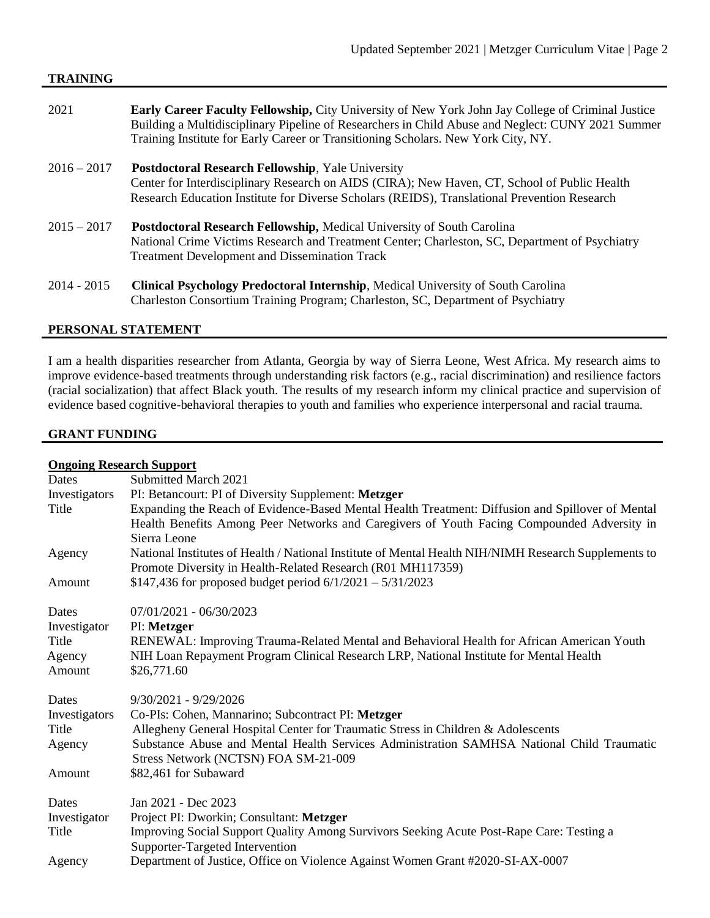### **TRAINING**

- 2021 **Early Career Faculty Fellowship,** City University of New York John Jay College of Criminal Justice Building a Multidisciplinary Pipeline of Researchers in Child Abuse and Neglect: CUNY 2021 Summer Training Institute for Early Career or Transitioning Scholars. New York City, NY.
- 2016 2017 **Postdoctoral Research Fellowship**, Yale University Center for Interdisciplinary Research on AIDS (CIRA); New Haven, CT, School of Public Health Research Education Institute for Diverse Scholars (REIDS), Translational Prevention Research
- 2015 2017 **Postdoctoral Research Fellowship,** Medical University of South Carolina National Crime Victims Research and Treatment Center; Charleston, SC, Department of Psychiatry Treatment Development and Dissemination Track
- 2014 2015 **Clinical Psychology Predoctoral Internship**, Medical University of South Carolina Charleston Consortium Training Program; Charleston, SC, Department of Psychiatry

### **PERSONAL STATEMENT**

I am a health disparities researcher from Atlanta, Georgia by way of Sierra Leone, West Africa. My research aims to improve evidence-based treatments through understanding risk factors (e.g., racial discrimination) and resilience factors (racial socialization) that affect Black youth. The results of my research inform my clinical practice and supervision of evidence based cognitive-behavioral therapies to youth and families who experience interpersonal and racial trauma.

### **GRANT FUNDING**

|               | <b>Ongoing Research Support</b>                                                                                                                                                                                |  |  |
|---------------|----------------------------------------------------------------------------------------------------------------------------------------------------------------------------------------------------------------|--|--|
| Dates         | Submitted March 2021                                                                                                                                                                                           |  |  |
| Investigators | PI: Betancourt: PI of Diversity Supplement: Metzger                                                                                                                                                            |  |  |
| Title         | Expanding the Reach of Evidence-Based Mental Health Treatment: Diffusion and Spillover of Mental<br>Health Benefits Among Peer Networks and Caregivers of Youth Facing Compounded Adversity in<br>Sierra Leone |  |  |
| Agency        | National Institutes of Health / National Institute of Mental Health NIH/NIMH Research Supplements to<br>Promote Diversity in Health-Related Research (R01 MH117359)                                            |  |  |
| Amount        | \$147,436 for proposed budget period $6/1/2021 - 5/31/2023$                                                                                                                                                    |  |  |
|               |                                                                                                                                                                                                                |  |  |
| Dates         | $07/01/2021 - 06/30/2023$                                                                                                                                                                                      |  |  |
| Investigator  | PI: Metzger                                                                                                                                                                                                    |  |  |
| Title         | RENEWAL: Improving Trauma-Related Mental and Behavioral Health for African American Youth                                                                                                                      |  |  |
| Agency        | NIH Loan Repayment Program Clinical Research LRP, National Institute for Mental Health                                                                                                                         |  |  |
| Amount        | \$26,771.60                                                                                                                                                                                                    |  |  |
| Dates         | $9/30/2021 - 9/29/2026$                                                                                                                                                                                        |  |  |
| Investigators | Co-PIs: Cohen, Mannarino; Subcontract PI: Metzger                                                                                                                                                              |  |  |
| Title         | Allegheny General Hospital Center for Traumatic Stress in Children & Adolescents                                                                                                                               |  |  |
| Agency        | Substance Abuse and Mental Health Services Administration SAMHSA National Child Traumatic<br>Stress Network (NCTSN) FOA SM-21-009                                                                              |  |  |
| Amount        | \$82,461 for Subaward                                                                                                                                                                                          |  |  |
|               |                                                                                                                                                                                                                |  |  |
| Dates         | Jan 2021 - Dec 2023                                                                                                                                                                                            |  |  |
| Investigator  | Project PI: Dworkin; Consultant: Metzger                                                                                                                                                                       |  |  |
| Title         | Improving Social Support Quality Among Survivors Seeking Acute Post-Rape Care: Testing a<br>Supporter-Targeted Intervention                                                                                    |  |  |
| Agency        | Department of Justice, Office on Violence Against Women Grant #2020-SI-AX-0007                                                                                                                                 |  |  |
|               |                                                                                                                                                                                                                |  |  |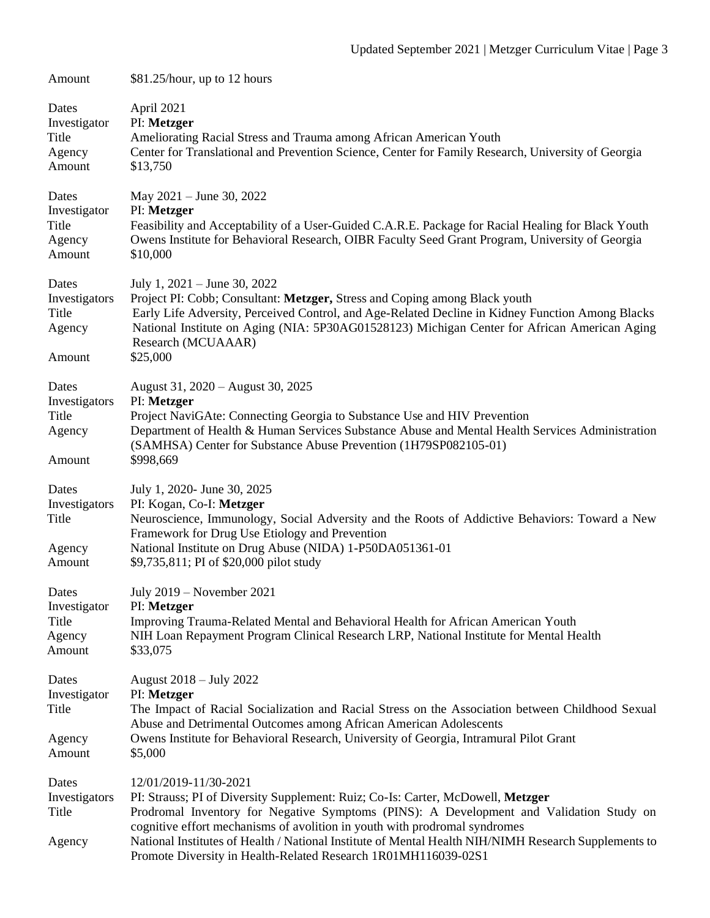| Amount                                              | $$81.25/hour$ , up to 12 hours                                                                                                                                                                                                                                                                                                                     |
|-----------------------------------------------------|----------------------------------------------------------------------------------------------------------------------------------------------------------------------------------------------------------------------------------------------------------------------------------------------------------------------------------------------------|
| Dates<br>Investigator<br>Title<br>Agency<br>Amount  | April 2021<br>PI: Metzger<br>Ameliorating Racial Stress and Trauma among African American Youth<br>Center for Translational and Prevention Science, Center for Family Research, University of Georgia<br>\$13,750                                                                                                                                  |
| Dates<br>Investigator<br>Title<br>Agency<br>Amount  | May $2021 -$ June 30, 2022<br>PI: Metzger<br>Feasibility and Acceptability of a User-Guided C.A.R.E. Package for Racial Healing for Black Youth<br>Owens Institute for Behavioral Research, OIBR Faculty Seed Grant Program, University of Georgia<br>\$10,000                                                                                     |
| Dates<br>Investigators<br>Title<br>Agency<br>Amount | July 1, $2021 -$ June 30, 2022<br>Project PI: Cobb; Consultant: Metzger, Stress and Coping among Black youth<br>Early Life Adversity, Perceived Control, and Age-Related Decline in Kidney Function Among Blacks<br>National Institute on Aging (NIA: 5P30AG01528123) Michigan Center for African American Aging<br>Research (MCUAAAR)<br>\$25,000 |
| Dates<br>Investigators<br>Title<br>Agency<br>Amount | August 31, 2020 - August 30, 2025<br>PI: Metzger<br>Project NaviGAte: Connecting Georgia to Substance Use and HIV Prevention<br>Department of Health & Human Services Substance Abuse and Mental Health Services Administration<br>(SAMHSA) Center for Substance Abuse Prevention (1H79SP082105-01)<br>\$998,669                                   |
| Dates<br>Investigators<br>Title<br>Agency<br>Amount | July 1, 2020- June 30, 2025<br>PI: Kogan, Co-I: Metzger<br>Neuroscience, Immunology, Social Adversity and the Roots of Addictive Behaviors: Toward a New<br>Framework for Drug Use Etiology and Prevention<br>National Institute on Drug Abuse (NIDA) 1-P50DA051361-01<br>\$9,735,811; PI of \$20,000 pilot study                                  |
| Dates<br>Investigator<br>Title<br>Agency<br>Amount  | July 2019 - November 2021<br>PI: Metzger<br>Improving Trauma-Related Mental and Behavioral Health for African American Youth<br>NIH Loan Repayment Program Clinical Research LRP, National Institute for Mental Health<br>\$33,075                                                                                                                 |
| Dates<br>Investigator<br>Title<br>Agency            | August 2018 – July 2022<br>PI: Metzger<br>The Impact of Racial Socialization and Racial Stress on the Association between Childhood Sexual<br>Abuse and Detrimental Outcomes among African American Adolescents<br>Owens Institute for Behavioral Research, University of Georgia, Intramural Pilot Grant                                          |
| Amount                                              | \$5,000                                                                                                                                                                                                                                                                                                                                            |
| Dates<br>Investigators<br>Title                     | 12/01/2019-11/30-2021<br>PI: Strauss; PI of Diversity Supplement: Ruiz; Co-Is: Carter, McDowell, Metzger<br>Prodromal Inventory for Negative Symptoms (PINS): A Development and Validation Study on<br>cognitive effort mechanisms of avolition in youth with prodromal syndromes                                                                  |
| Agency                                              | National Institutes of Health / National Institute of Mental Health NIH/NIMH Research Supplements to<br>Promote Diversity in Health-Related Research 1R01MH116039-02S1                                                                                                                                                                             |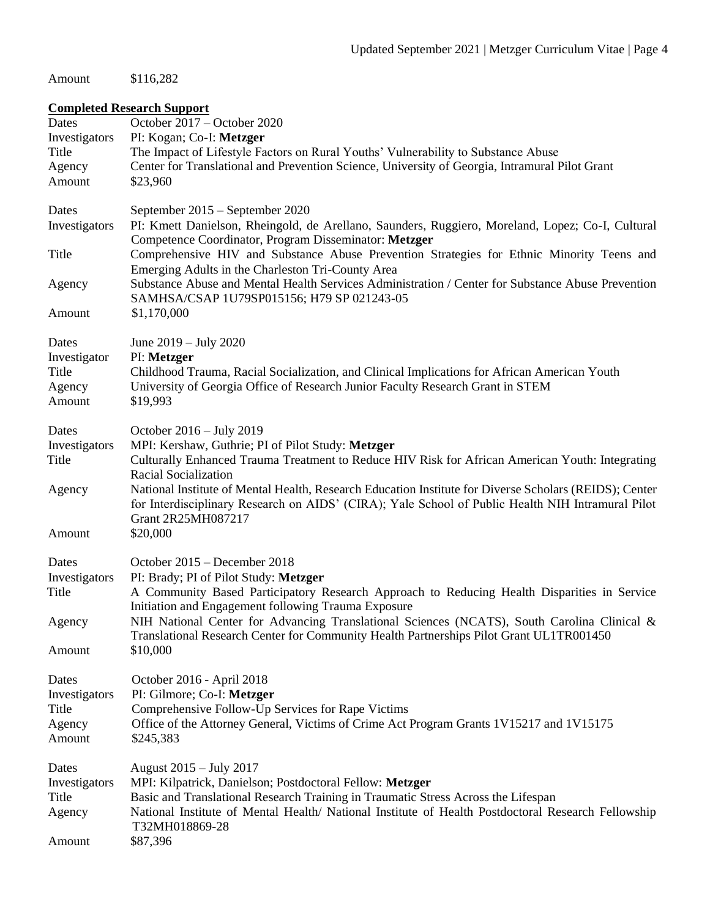Amount \$116,282

# **Completed Research Support**

| Dates                  | October 2017 – October 2020                                                                                                                                                                                                                               |
|------------------------|-----------------------------------------------------------------------------------------------------------------------------------------------------------------------------------------------------------------------------------------------------------|
| Investigators<br>Title | PI: Kogan; Co-I: Metzger<br>The Impact of Lifestyle Factors on Rural Youths' Vulnerability to Substance Abuse                                                                                                                                             |
| Agency                 | Center for Translational and Prevention Science, University of Georgia, Intramural Pilot Grant                                                                                                                                                            |
| Amount                 | \$23,960                                                                                                                                                                                                                                                  |
|                        |                                                                                                                                                                                                                                                           |
| Dates                  | September 2015 – September 2020                                                                                                                                                                                                                           |
| Investigators          | PI: Kmett Danielson, Rheingold, de Arellano, Saunders, Ruggiero, Moreland, Lopez; Co-I, Cultural<br>Competence Coordinator, Program Disseminator: Metzger                                                                                                 |
| Title                  | Comprehensive HIV and Substance Abuse Prevention Strategies for Ethnic Minority Teens and<br>Emerging Adults in the Charleston Tri-County Area                                                                                                            |
| Agency                 | Substance Abuse and Mental Health Services Administration / Center for Substance Abuse Prevention<br>SAMHSA/CSAP 1U79SP015156; H79 SP 021243-05                                                                                                           |
| Amount                 | \$1,170,000                                                                                                                                                                                                                                               |
| Dates                  | June 2019 – July 2020                                                                                                                                                                                                                                     |
| Investigator           | PI: Metzger                                                                                                                                                                                                                                               |
| Title                  | Childhood Trauma, Racial Socialization, and Clinical Implications for African American Youth                                                                                                                                                              |
| Agency                 | University of Georgia Office of Research Junior Faculty Research Grant in STEM                                                                                                                                                                            |
| Amount                 | \$19,993                                                                                                                                                                                                                                                  |
| Dates                  | October 2016 - July 2019                                                                                                                                                                                                                                  |
| Investigators          | MPI: Kershaw, Guthrie; PI of Pilot Study: Metzger                                                                                                                                                                                                         |
| Title                  | Culturally Enhanced Trauma Treatment to Reduce HIV Risk for African American Youth: Integrating                                                                                                                                                           |
| Agency                 | Racial Socialization<br>National Institute of Mental Health, Research Education Institute for Diverse Scholars (REIDS); Center<br>for Interdisciplinary Research on AIDS' (CIRA); Yale School of Public Health NIH Intramural Pilot<br>Grant 2R25MH087217 |
| Amount                 | \$20,000                                                                                                                                                                                                                                                  |
|                        |                                                                                                                                                                                                                                                           |
| Dates                  | October 2015 – December 2018                                                                                                                                                                                                                              |
| Investigators          | PI: Brady; PI of Pilot Study: Metzger                                                                                                                                                                                                                     |
| Title                  | A Community Based Participatory Research Approach to Reducing Health Disparities in Service<br>Initiation and Engagement following Trauma Exposure                                                                                                        |
| Agency                 | NIH National Center for Advancing Translational Sciences (NCATS), South Carolina Clinical &<br>Translational Research Center for Community Health Partnerships Pilot Grant UL1TR001450                                                                    |
| Amount                 | \$10,000                                                                                                                                                                                                                                                  |
| Dates                  | October 2016 - April 2018                                                                                                                                                                                                                                 |
| Investigators          | PI: Gilmore; Co-I: Metzger                                                                                                                                                                                                                                |
| Title                  | Comprehensive Follow-Up Services for Rape Victims                                                                                                                                                                                                         |
| Agency                 | Office of the Attorney General, Victims of Crime Act Program Grants 1V15217 and 1V15175                                                                                                                                                                   |
| Amount                 | \$245,383                                                                                                                                                                                                                                                 |
| Dates                  | August 2015 – July 2017                                                                                                                                                                                                                                   |
| Investigators          | MPI: Kilpatrick, Danielson; Postdoctoral Fellow: Metzger                                                                                                                                                                                                  |
| Title<br>Agency        | Basic and Translational Research Training in Traumatic Stress Across the Lifespan<br>National Institute of Mental Health/ National Institute of Health Postdoctoral Research Fellowship                                                                   |
|                        | T32MH018869-28                                                                                                                                                                                                                                            |
| Amount                 | \$87,396                                                                                                                                                                                                                                                  |
|                        |                                                                                                                                                                                                                                                           |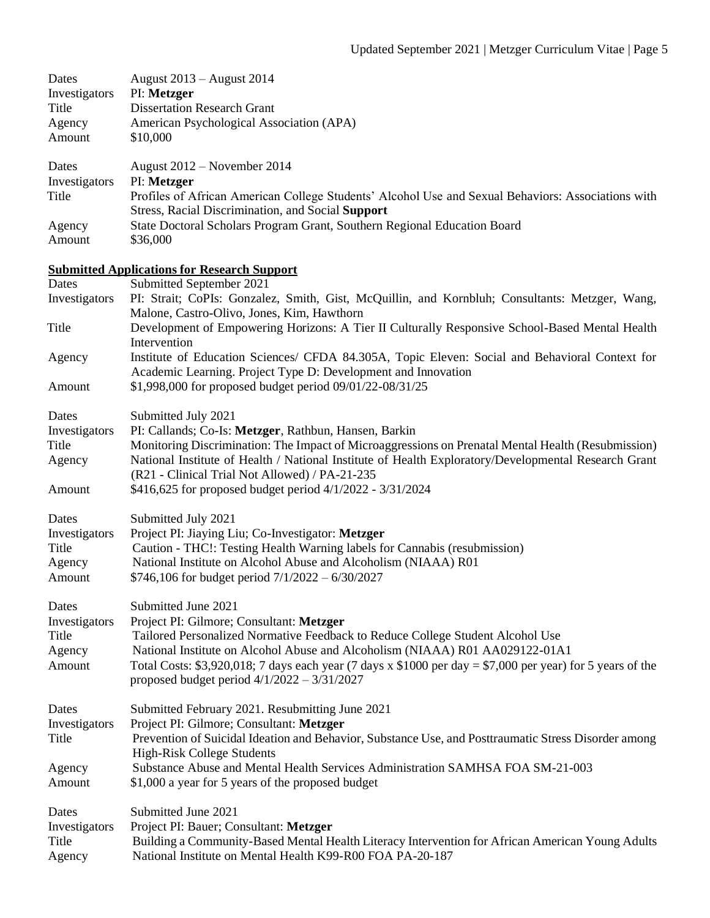| Dates<br>Investigators<br>Title<br>Agency<br>Amount | August 2013 - August 2014<br>PI: Metzger<br><b>Dissertation Research Grant</b><br>American Psychological Association (APA)<br>\$10,000                                                                |
|-----------------------------------------------------|-------------------------------------------------------------------------------------------------------------------------------------------------------------------------------------------------------|
| Dates<br>Investigators<br>Title                     | August 2012 – November 2014<br>PI: Metzger<br>Profiles of African American College Students' Alcohol Use and Sexual Behaviors: Associations with<br>Stress, Racial Discrimination, and Social Support |
| Agency<br>Amount                                    | State Doctoral Scholars Program Grant, Southern Regional Education Board<br>\$36,000                                                                                                                  |
|                                                     | <b>Submitted Applications for Research Support</b>                                                                                                                                                    |
| Dates<br>Investigators                              | Submitted September 2021<br>PI: Strait; CoPIs: Gonzalez, Smith, Gist, McQuillin, and Kornbluh; Consultants: Metzger, Wang,<br>Malone, Castro-Olivo, Jones, Kim, Hawthorn                              |
| Title                                               | Development of Empowering Horizons: A Tier II Culturally Responsive School-Based Mental Health<br>Intervention                                                                                        |
| Agency                                              | Institute of Education Sciences/ CFDA 84.305A, Topic Eleven: Social and Behavioral Context for<br>Academic Learning. Project Type D: Development and Innovation                                       |
| Amount                                              | \$1,998,000 for proposed budget period 09/01/22-08/31/25                                                                                                                                              |
| Dates                                               | Submitted July 2021                                                                                                                                                                                   |
| Investigators<br>Title                              | PI: Callands; Co-Is: Metzger, Rathbun, Hansen, Barkin<br>Monitoring Discrimination: The Impact of Microaggressions on Prenatal Mental Health (Resubmission)                                           |
| Agency                                              | National Institute of Health / National Institute of Health Exploratory/Developmental Research Grant<br>(R21 - Clinical Trial Not Allowed) / PA-21-235                                                |
| Amount                                              | \$416,625 for proposed budget period 4/1/2022 - 3/31/2024                                                                                                                                             |
| Dates                                               | Submitted July 2021                                                                                                                                                                                   |
| Investigators                                       | Project PI: Jiaying Liu; Co-Investigator: Metzger                                                                                                                                                     |
| Title<br>Agency                                     | Caution - THC!: Testing Health Warning labels for Cannabis (resubmission)<br>National Institute on Alcohol Abuse and Alcoholism (NIAAA) R01                                                           |
| Amount                                              | \$746,106 for budget period $7/1/2022 - 6/30/2027$                                                                                                                                                    |
| Dates                                               | Submitted June 2021                                                                                                                                                                                   |
| Investigators                                       | Project PI: Gilmore; Consultant: Metzger                                                                                                                                                              |
| Title<br>Agency                                     | Tailored Personalized Normative Feedback to Reduce College Student Alcohol Use<br>National Institute on Alcohol Abuse and Alcoholism (NIAAA) R01 AA029122-01A1                                        |
| Amount                                              | Total Costs: \$3,920,018; 7 days each year (7 days x \$1000 per day = \$7,000 per year) for 5 years of the<br>proposed budget period $4/1/2022 - 3/31/2027$                                           |
| Dates                                               | Submitted February 2021. Resubmitting June 2021                                                                                                                                                       |
| Investigators<br>Title                              | Project PI: Gilmore; Consultant: Metzger<br>Prevention of Suicidal Ideation and Behavior, Substance Use, and Posttraumatic Stress Disorder among<br>High-Risk College Students                        |
| Agency<br>Amount                                    | Substance Abuse and Mental Health Services Administration SAMHSA FOA SM-21-003<br>\$1,000 a year for 5 years of the proposed budget                                                                   |
| Dates                                               | Submitted June 2021                                                                                                                                                                                   |
| Investigators                                       | Project PI: Bauer; Consultant: Metzger                                                                                                                                                                |
| Title<br>Agency                                     | Building a Community-Based Mental Health Literacy Intervention for African American Young Adults<br>National Institute on Mental Health K99-R00 FOA PA-20-187                                         |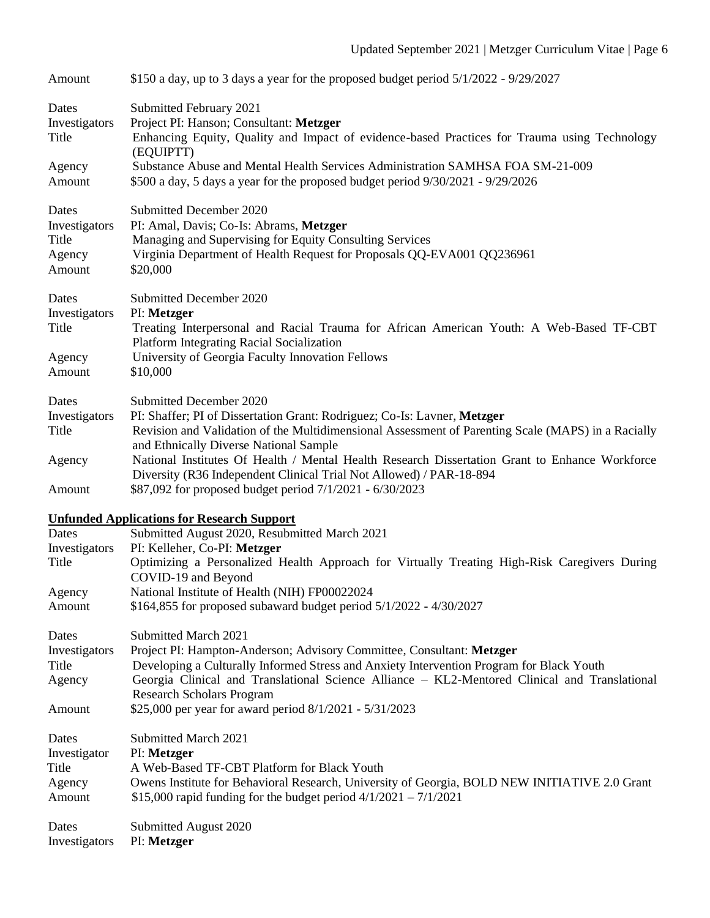| Amount                                              | \$150 a day, up to 3 days a year for the proposed budget period 5/1/2022 - 9/29/2027                                                                                                                                                                                                                                                                                                      |
|-----------------------------------------------------|-------------------------------------------------------------------------------------------------------------------------------------------------------------------------------------------------------------------------------------------------------------------------------------------------------------------------------------------------------------------------------------------|
| Dates<br>Investigators<br>Title                     | Submitted February 2021<br>Project PI: Hanson; Consultant: Metzger<br>Enhancing Equity, Quality and Impact of evidence-based Practices for Trauma using Technology<br>(EQUIPTT)                                                                                                                                                                                                           |
| Agency<br>Amount                                    | Substance Abuse and Mental Health Services Administration SAMHSA FOA SM-21-009<br>\$500 a day, 5 days a year for the proposed budget period 9/30/2021 - 9/29/2026                                                                                                                                                                                                                         |
| Dates<br>Investigators<br>Title<br>Agency<br>Amount | <b>Submitted December 2020</b><br>PI: Amal, Davis; Co-Is: Abrams, Metzger<br>Managing and Supervising for Equity Consulting Services<br>Virginia Department of Health Request for Proposals QQ-EVA001 QQ236961<br>\$20,000                                                                                                                                                                |
| Dates<br>Investigators<br>Title                     | Submitted December 2020<br>PI: Metzger<br>Treating Interpersonal and Racial Trauma for African American Youth: A Web-Based TF-CBT<br><b>Platform Integrating Racial Socialization</b>                                                                                                                                                                                                     |
| Agency<br>Amount                                    | University of Georgia Faculty Innovation Fellows<br>\$10,000                                                                                                                                                                                                                                                                                                                              |
| Dates<br>Investigators<br>Title                     | Submitted December 2020<br>PI: Shaffer; PI of Dissertation Grant: Rodriguez; Co-Is: Lavner, Metzger<br>Revision and Validation of the Multidimensional Assessment of Parenting Scale (MAPS) in a Racially<br>and Ethnically Diverse National Sample                                                                                                                                       |
| Agency<br>Amount                                    | National Institutes Of Health / Mental Health Research Dissertation Grant to Enhance Workforce<br>Diversity (R36 Independent Clinical Trial Not Allowed) / PAR-18-894<br>\$87,092 for proposed budget period 7/1/2021 - 6/30/2023                                                                                                                                                         |
|                                                     | <b>Unfunded Applications for Research Support</b>                                                                                                                                                                                                                                                                                                                                         |
| Dates                                               | Submitted August 2020, Resubmitted March 2021                                                                                                                                                                                                                                                                                                                                             |
| Investigators<br>Title                              | PI: Kelleher, Co-PI: Metzger<br>Optimizing a Personalized Health Approach for Virtually Treating High-Risk Caregivers During<br>COVID-19 and Beyond                                                                                                                                                                                                                                       |
| Agency<br>Amount                                    | National Institute of Health (NIH) FP00022024<br>\$164,855 for proposed subaward budget period 5/1/2022 - 4/30/2027                                                                                                                                                                                                                                                                       |
| Dates<br>Investigators<br>Title<br>Agency<br>Amount | Submitted March 2021<br>Project PI: Hampton-Anderson; Advisory Committee, Consultant: Metzger<br>Developing a Culturally Informed Stress and Anxiety Intervention Program for Black Youth<br>Georgia Clinical and Translational Science Alliance - KL2-Mentored Clinical and Translational<br><b>Research Scholars Program</b><br>\$25,000 per year for award period 8/1/2021 - 5/31/2023 |
| Dates                                               | Submitted March 2021                                                                                                                                                                                                                                                                                                                                                                      |
| Investigator                                        | PI: Metzger                                                                                                                                                                                                                                                                                                                                                                               |
| Title<br>Agency<br>Amount                           | A Web-Based TF-CBT Platform for Black Youth<br>Owens Institute for Behavioral Research, University of Georgia, BOLD NEW INITIATIVE 2.0 Grant<br>\$15,000 rapid funding for the budget period $4/1/2021 - 7/1/2021$                                                                                                                                                                        |
| Dates<br>Investigators                              | Submitted August 2020<br>PI: Metzger                                                                                                                                                                                                                                                                                                                                                      |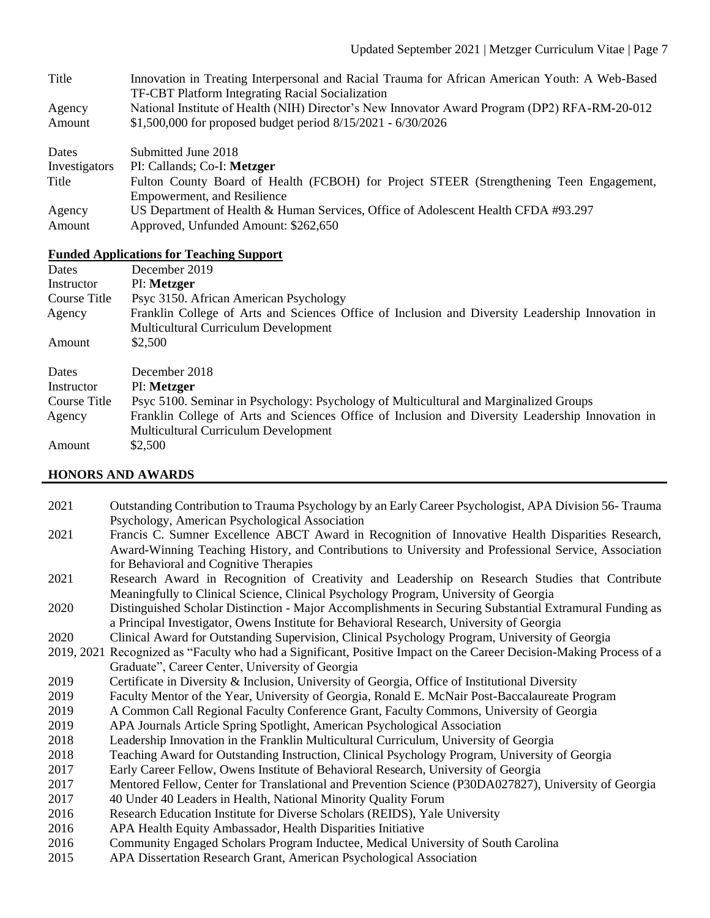| Title            | Innovation in Treating Interpersonal and Racial Trauma for African American Youth: A Web-Based<br><b>TF-CBT Platform Integrating Racial Socialization</b>       |
|------------------|-----------------------------------------------------------------------------------------------------------------------------------------------------------------|
| Agency<br>Amount | National Institute of Health (NIH) Director's New Innovator Award Program (DP2) RFA-RM-20-012<br>\$1,500,000 for proposed budget period $8/15/2021 - 6/30/2026$ |
| Dates            | Submitted June 2018                                                                                                                                             |

Investigators PI: Callands; Co-I: **Metzger**

- Title Fulton County Board of Health (FCBOH) for Project STEER (Strengthening Teen Engagement, Empowerment, and Resilience
- Agency US Department of Health & Human Services, Office of Adolescent Health CFDA #93.297
- Amount Approved, Unfunded Amount: \$262,650

# **Funded Applications for Teaching Support**

| Dates        | December 2019                                                                                    |
|--------------|--------------------------------------------------------------------------------------------------|
| Instructor   | PI: Metzger                                                                                      |
| Course Title | Psyc 3150. African American Psychology                                                           |
| Agency       | Franklin College of Arts and Sciences Office of Inclusion and Diversity Leadership Innovation in |
|              | <b>Multicultural Curriculum Development</b>                                                      |
| Amount       | \$2,500                                                                                          |
| Dates        | December 2018                                                                                    |
| Instructor   | PI: Metzger                                                                                      |
| Course Title | Psyc 5100. Seminar in Psychology: Psychology of Multicultural and Marginalized Groups            |
| Agency       | Franklin College of Arts and Sciences Office of Inclusion and Diversity Leadership Innovation in |
|              | <b>Multicultural Curriculum Development</b>                                                      |
| Amount       | \$2,500                                                                                          |

# **HONORS AND AWARDS**

 Outstanding Contribution to Trauma Psychology by an Early Career Psychologist, APA Division 56- Trauma Psychology, American Psychological Association Francis C. Sumner Excellence ABCT Award in Recognition of Innovative Health Disparities Research, Award-Winning Teaching History, and Contributions to University and Professional Service, Association for Behavioral and Cognitive Therapies Research Award in Recognition of Creativity and Leadership on Research Studies that Contribute Meaningfully to Clinical Science, Clinical Psychology Program, University of Georgia Distinguished Scholar Distinction - Major Accomplishments in Securing Substantial Extramural Funding as a Principal Investigator, Owens Institute for Behavioral Research, University of Georgia Clinical Award for Outstanding Supervision, Clinical Psychology Program, University of Georgia 2019, 2021 Recognized as "Faculty who had a Significant, Positive Impact on the Career Decision-Making Process of a Graduate", Career Center, University of Georgia Certificate in Diversity & Inclusion, University of Georgia, Office of Institutional Diversity Faculty Mentor of the Year, University of Georgia, Ronald E. McNair Post-Baccalaureate Program A Common Call Regional Faculty Conference Grant, Faculty Commons, University of Georgia APA Journals Article Spring Spotlight, American Psychological Association Leadership Innovation in the Franklin Multicultural Curriculum, University of Georgia Teaching Award for Outstanding Instruction, Clinical Psychology Program, University of Georgia Early Career Fellow, Owens Institute of Behavioral Research, University of Georgia Mentored Fellow, Center for Translational and Prevention Science (P30DA027827), University of Georgia 40 Under 40 Leaders in Health, National Minority Quality Forum Research Education Institute for Diverse Scholars (REIDS), Yale University 2016 APA Health Equity Ambassador, Health Disparities Initiative Community Engaged Scholars Program Inductee, Medical University of South Carolina APA Dissertation Research Grant, American Psychological Association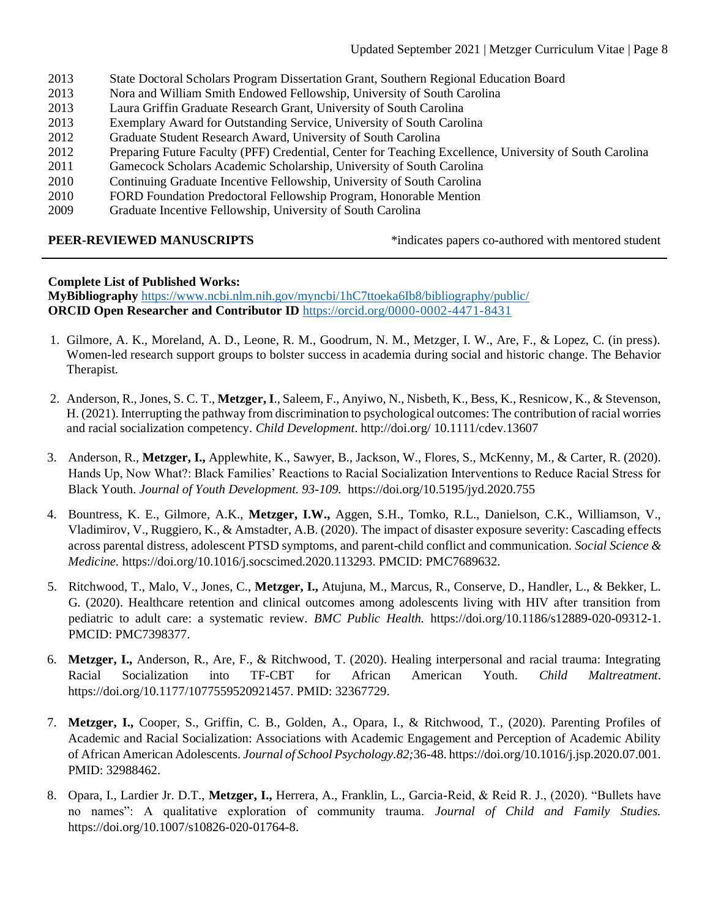- 2013 State Doctoral Scholars Program Dissertation Grant, Southern Regional Education Board
- 2013 Nora and William Smith Endowed Fellowship, University of South Carolina
- 2013 Laura Griffin Graduate Research Grant, University of South Carolina
- 2013 Exemplary Award for Outstanding Service, University of South Carolina
- 2012 Graduate Student Research Award, University of South Carolina
- 2012 Preparing Future Faculty (PFF) Credential, Center for Teaching Excellence, University of South Carolina
- 2011 Gamecock Scholars Academic Scholarship, University of South Carolina
- 2010 Continuing Graduate Incentive Fellowship, University of South Carolina
- 2010 FORD Foundation Predoctoral Fellowship Program, Honorable Mention
- 2009 Graduate Incentive Fellowship, University of South Carolina

**PEER-REVIEWED MANUSCRIPTS** \* indicates papers co-authored with mentored student

### **Complete List of Published Works:**

**MyBibliography** <https://www.ncbi.nlm.nih.gov/myncbi/1hC7ttoeka6Ib8/bibliography/public/> **ORCID Open Researcher and Contributor ID** <https://orcid.org/0000-0002-4471-8431>

- 1. Gilmore, A. K., Moreland, A. D., Leone, R. M., Goodrum, N. M., Metzger, I. W., Are, F., & Lopez, C. (in press). Women-led research support groups to bolster success in academia during social and historic change. The Behavior Therapist.
- 2. Anderson, R., Jones, S. C. T., **Metzger, I**., Saleem, F., Anyiwo, N., Nisbeth, K., Bess, K., Resnicow, K., & Stevenson, H. (2021). Interrupting the pathway from discrimination to psychological outcomes: The contribution of racial worries and racial socialization competency. *Child Development*. http://doi.org/ 10.1111/cdev.13607
- 3. Anderson, R., **Metzger, I.,** Applewhite, K., Sawyer, B., Jackson, W., Flores, S., McKenny, M., & Carter, R. (2020). Hands Up, Now What?: Black Families' Reactions to Racial Socialization Interventions to Reduce Racial Stress for Black Youth. *Journal of Youth Development. 93-109.* https://doi.org/10.5195/jyd.2020.755
- 4. Bountress, K. E., Gilmore, A.K., **Metzger, I.W.,** Aggen, S.H., Tomko, R.L., Danielson, C.K., Williamson, V., Vladimirov, V., Ruggiero, K., & Amstadter, A.B. (2020). The impact of disaster exposure severity: Cascading effects across parental distress, adolescent PTSD symptoms, and parent-child conflict and communication. *Social Science & Medicine.* https://doi.org/10.1016/j.socscimed.2020.113293. PMCID: PMC7689632.
- 5. Ritchwood, T., Malo, V., Jones, C., **Metzger, I.,** Atujuna, M., Marcus, R., Conserve, D., Handler, L., & Bekker, L. G. (2020). Healthcare retention and clinical outcomes among adolescents living with HIV after transition from pediatric to adult care: a systematic review. *BMC Public Health.* https://doi.org/10.1186/s12889-020-09312-1. PMCID: PMC7398377.
- 6. **Metzger, I.,** Anderson, R., Are, F., & Ritchwood, T. (2020). Healing interpersonal and racial trauma: Integrating Racial Socialization into TF-CBT for African American Youth. *Child Maltreatment*. https://doi.org/10.1177/1077559520921457. PMID: 32367729.
- 7. **Metzger, I.,** Cooper, S., Griffin, C. B., Golden, A., Opara, I., & Ritchwood, T., (2020). Parenting Profiles of Academic and Racial Socialization: Associations with Academic Engagement and Perception of Academic Ability of African American Adolescents. *Journal of School Psychology.82;*36-48. https://doi.org/10.1016/j.jsp.2020.07.001. PMID: 32988462.
- 8. Opara, I., Lardier Jr. D.T., **Metzger, I.,** Herrera, A., Franklin, L., Garcia-Reid, & Reid R. J., (2020). "Bullets have no names": A qualitative exploration of community trauma. *Journal of Child and Family Studies.*  https://doi.org/10.1007/s10826-020-01764-8.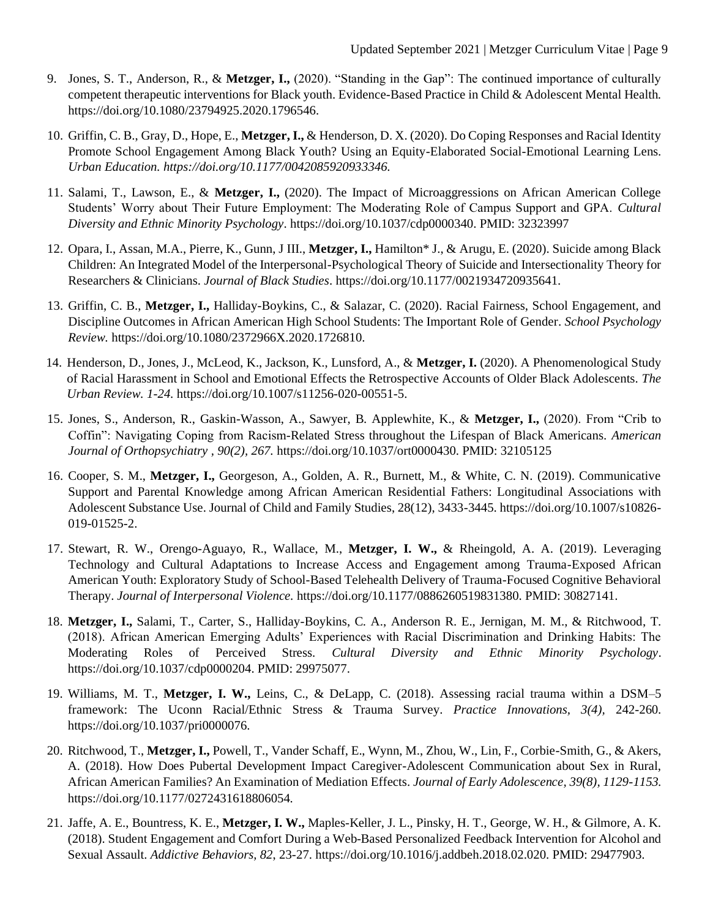- 9. Jones, S. T., Anderson, R., & **Metzger, I.,** (2020). "Standing in the Gap": The continued importance of culturally competent therapeutic interventions for Black youth. Evidence-Based Practice in Child & Adolescent Mental Health. https://doi.org/10.1080/23794925.2020.1796546.
- 10. Griffin, C. B., Gray, D., Hope, E., **Metzger, I.,** & Henderson, D. X. (2020). Do Coping Responses and Racial Identity Promote School Engagement Among Black Youth? Using an Equity-Elaborated Social-Emotional Learning Lens. *Urban Education. https://doi.org/10.1177/0042085920933346.*
- 11. Salami, T., Lawson, E., & **Metzger, I.,** (2020). The Impact of Microaggressions on African American College Students' Worry about Their Future Employment: The Moderating Role of Campus Support and GPA. *Cultural Diversity and Ethnic Minority Psychology*. https://doi.org/10.1037/cdp0000340. PMID: 32323997
- 12. Opara, I., Assan, M.A., Pierre, K., Gunn, J III., **Metzger, I.,** Hamilton\* J., & Arugu, E. (2020). Suicide among Black Children: An Integrated Model of the Interpersonal-Psychological Theory of Suicide and Intersectionality Theory for Researchers & Clinicians. *Journal of Black Studies*. https://doi.org/10.1177/0021934720935641.
- 13. Griffin, C. B., **Metzger, I.,** Halliday-Boykins, C., & Salazar, C. (2020). Racial Fairness, School Engagement, and Discipline Outcomes in African American High School Students: The Important Role of Gender. *School Psychology Review.* https://doi.org/10.1080/2372966X.2020.1726810.
- 14. Henderson, D., Jones, J., McLeod, K., Jackson, K., Lunsford, A., & **Metzger, I.** (2020). A Phenomenological Study of Racial Harassment in School and Emotional Effects the Retrospective Accounts of Older Black Adolescents. *The Urban Review. 1-24.* https://doi.org/10.1007/s11256-020-00551-5.
- 15. Jones, S., Anderson, R., Gaskin-Wasson, A., Sawyer, B. Applewhite, K., & **Metzger, I.,** (2020). From "Crib to Coffin": Navigating Coping from Racism-Related Stress throughout the Lifespan of Black Americans. *American Journal of Orthopsychiatry , 90(2), 267.* https://doi.org/10.1037/ort0000430. PMID: 32105125
- 16. Cooper, S. M., **Metzger, I.,** Georgeson, A., Golden, A. R., Burnett, M., & White, C. N. (2019). Communicative Support and Parental Knowledge among African American Residential Fathers: Longitudinal Associations with Adolescent Substance Use. Journal of Child and Family Studies, 28(12), 3433-3445. https://doi.org/10.1007/s10826- 019-01525-2.
- 17. Stewart, R. W., Orengo-Aguayo, R., Wallace, M., **Metzger, I. W.,** & Rheingold, A. A. (2019). Leveraging Technology and Cultural Adaptations to Increase Access and Engagement among Trauma-Exposed African American Youth: Exploratory Study of School-Based Telehealth Delivery of Trauma-Focused Cognitive Behavioral Therapy. *Journal of Interpersonal Violence.* https://doi.org/10.1177/0886260519831380. PMID: 30827141.
- 18. **Metzger, I.,** Salami, T., Carter, S., Halliday-Boykins, C. A., Anderson R. E., Jernigan, M. M., & Ritchwood, T. (2018). African American Emerging Adults' Experiences with Racial Discrimination and Drinking Habits: The Moderating Roles of Perceived Stress. *Cultural Diversity and Ethnic Minority Psychology*. https://doi.org/10.1037/cdp0000204. PMID: 29975077.
- 19. Williams, M. T., **Metzger, I. W.,** Leins, C., & DeLapp, C. (2018). Assessing racial trauma within a DSM–5 framework: The Uconn Racial/Ethnic Stress & Trauma Survey. *Practice Innovations, 3(4),* 242-260. https://doi.org/10.1037/pri0000076.
- 20. Ritchwood, T., **Metzger, I.,** Powell, T., Vander Schaff, E., Wynn, M., Zhou, W., Lin, F., Corbie-Smith, G., & Akers, A. (2018). How Does Pubertal Development Impact Caregiver-Adolescent Communication about Sex in Rural, African American Families? An Examination of Mediation Effects. *Journal of Early Adolescence, 39(8), 1129-1153.* https://doi.org/10.1177/0272431618806054*.*
- 21. Jaffe, A. E., Bountress, K. E., **Metzger, I. W.,** Maples-Keller, J. L., Pinsky, H. T., George, W. H., & Gilmore, A. K. (2018). Student Engagement and Comfort During a Web-Based Personalized Feedback Intervention for Alcohol and Sexual Assault. *Addictive Behaviors, 82*, 23-27. https://doi.org/10.1016/j.addbeh.2018.02.020. PMID: 29477903.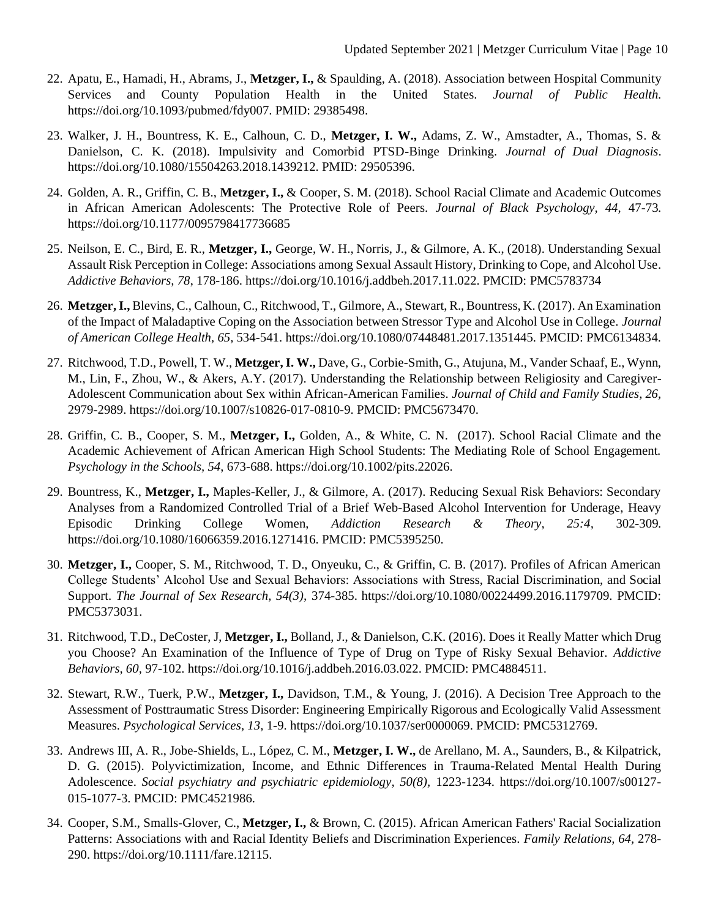- 22. Apatu, E., Hamadi, H., Abrams, J., **Metzger, I.,** & Spaulding, A. (2018). Association between Hospital Community Services and County Population Health in the United States. *Journal of Public Health.* https://doi.org/10.1093/pubmed/fdy007. PMID: 29385498.
- 23. Walker, J. H., Bountress, K. E., Calhoun, C. D., **Metzger, I. W.,** Adams, Z. W., Amstadter, A., Thomas, S. & Danielson, C. K. (2018). Impulsivity and Comorbid PTSD-Binge Drinking. *Journal of Dual Diagnosis*. https://doi.org/10.1080/15504263.2018.1439212. PMID: 29505396.
- 24. Golden, A. R., Griffin, C. B., **Metzger, I.,** & Cooper, S. M. (2018). School Racial Climate and Academic Outcomes in African American Adolescents: The Protective Role of Peers. *Journal of Black Psychology, 44,* 47-73. https://doi.org/10.1177/0095798417736685
- 25. Neilson, E. C., Bird, E. R., **Metzger, I.,** George, W. H., Norris, J., & Gilmore, A. K., (2018). Understanding Sexual Assault Risk Perception in College: Associations among Sexual Assault History, Drinking to Cope, and Alcohol Use. *Addictive Behaviors, 78*, 178-186. https://doi.org/10.1016/j.addbeh.2017.11.022. PMCID: PMC5783734
- 26. **Metzger, I.,** Blevins, C., Calhoun, C., Ritchwood, T., Gilmore, A., Stewart, R., Bountress, K. (2017). An Examination of the Impact of Maladaptive Coping on the Association between Stressor Type and Alcohol Use in College. *Journal of American College Health, 65,* 534-541. https://doi.org/10.1080/07448481.2017.1351445. PMCID: PMC6134834.
- 27. Ritchwood, T.D., Powell, T. W., **Metzger, I. W.,** Dave, G., Corbie-Smith, G., Atujuna, M., Vander Schaaf, E., Wynn, M., Lin, F., Zhou, W., & Akers, A.Y. (2017). Understanding the Relationship between Religiosity and Caregiver-Adolescent Communication about Sex within African-American Families. *Journal of Child and Family Studies, 26,* 2979-2989. https://doi.org/10.1007/s10826-017-0810-9. PMCID: PMC5673470.
- 28. Griffin, C. B., Cooper, S. M., **Metzger, I.,** Golden, A., & White, C. N. (2017). School Racial Climate and the Academic Achievement of African American High School Students: The Mediating Role of School Engagement. *Psychology in the Schools, 54*, 673-688. https://doi.org/10.1002/pits.22026.
- 29. Bountress, K., **Metzger, I.,** Maples-Keller, J., & Gilmore, A. (2017). Reducing Sexual Risk Behaviors: Secondary Analyses from a Randomized Controlled Trial of a Brief Web-Based Alcohol Intervention for Underage, Heavy Episodic Drinking College Women, *Addiction Research & Theory, 25:4,* 302-309. https://doi.org/10.1080/16066359.2016.1271416. PMCID: PMC5395250.
- 30. **Metzger, I.,** Cooper, S. M., Ritchwood, T. D., Onyeuku, C., & Griffin, C. B. (2017). Profiles of African American College Students' Alcohol Use and Sexual Behaviors: Associations with Stress, Racial Discrimination, and Social Support. *The Journal of Sex Research, 54(3),* 374-385. https://doi.org/10.1080/00224499.2016.1179709. PMCID: PMC5373031.
- 31. Ritchwood, T.D., DeCoster, J, **Metzger, I.,** Bolland, J., & Danielson, C.K. (2016). Does it Really Matter which Drug you Choose? An Examination of the Influence of Type of Drug on Type of Risky Sexual Behavior. *Addictive Behaviors, 60,* 97-102. https://doi.org/10.1016/j.addbeh.2016.03.022. PMCID: PMC4884511.
- 32. Stewart, R.W., Tuerk, P.W., **Metzger, I.,** Davidson, T.M., & Young, J. (2016). A Decision Tree Approach to the Assessment of Posttraumatic Stress Disorder: Engineering Empirically Rigorous and Ecologically Valid Assessment Measures. *Psychological Services, 13,* 1-9. https://doi.org/10.1037/ser0000069. PMCID: PMC5312769.
- 33. Andrews III, A. R., Jobe-Shields, L., López, C. M., **Metzger, I. W.,** de Arellano, M. A., Saunders, B., & Kilpatrick, D. G. (2015). Polyvictimization, Income, and Ethnic Differences in Trauma-Related Mental Health During Adolescence. *Social psychiatry and psychiatric epidemiology, 50(8),* 1223-1234. https://doi.org/10.1007/s00127- 015-1077-3. PMCID: PMC4521986.
- 34. Cooper, S.M., Smalls-Glover, C., **Metzger, I.,** & Brown, C. (2015). African American Fathers' Racial Socialization Patterns: Associations with and Racial Identity Beliefs and Discrimination Experiences. *Family Relations, 64,* 278- 290. https://doi.org/10.1111/fare.12115.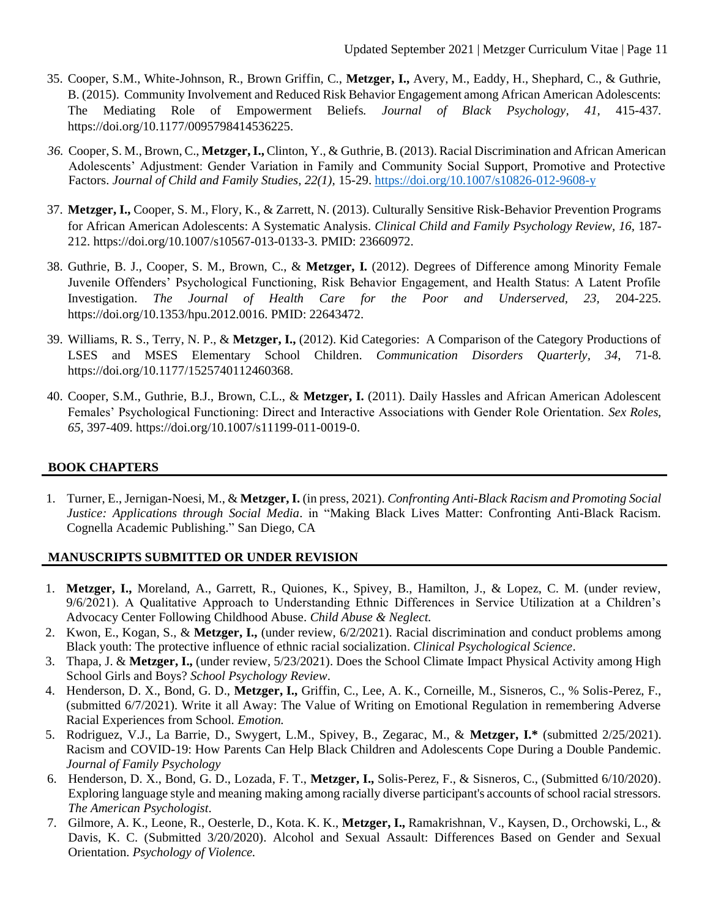- 35. Cooper, S.M., White-Johnson, R., Brown Griffin, C., **Metzger, I.,** Avery, M., Eaddy, H., Shephard, C., & Guthrie, B. (2015). Community Involvement and Reduced Risk Behavior Engagement among African American Adolescents: The Mediating Role of Empowerment Beliefs. *Journal of Black Psychology, 41,* 415-437. https://doi.org/10.1177/0095798414536225.
- *36.* Cooper, S. M., Brown, C., **Metzger, I.,** Clinton, Y., & Guthrie, B. (2013). Racial Discrimination and African American Adolescents' Adjustment: Gender Variation in Family and Community Social Support, Promotive and Protective Factors. *Journal of Child and Family Studies, 22(1),* 15-29.<https://doi.org/10.1007/s10826-012-9608-y>
- 37. **Metzger, I.,** Cooper, S. M., Flory, K., & Zarrett, N. (2013). Culturally Sensitive Risk-Behavior Prevention Programs for African American Adolescents: A Systematic Analysis. *Clinical Child and Family Psychology Review, 16,* 187- 212. https://doi.org/10.1007/s10567-013-0133-3. PMID: 23660972.
- 38. Guthrie, B. J., Cooper, S. M., Brown, C., & **Metzger, I.** (2012). Degrees of Difference among Minority Female Juvenile Offenders' Psychological Functioning, Risk Behavior Engagement, and Health Status: A Latent Profile Investigation. *The Journal of Health Care for the Poor and Underserved, 23,* 204-225. https://doi.org/10.1353/hpu.2012.0016. PMID: 22643472.
- 39. Williams, R. S., Terry, N. P., & **Metzger, I.,** (2012). Kid Categories: A Comparison of the Category Productions of LSES and MSES Elementary School Children. *Communication Disorders Quarterly, 34*, 71-8. https://doi.org/10.1177/1525740112460368.
- 40. Cooper, S.M., Guthrie, B.J., Brown, C.L., & **Metzger, I.** (2011). Daily Hassles and African American Adolescent Females' Psychological Functioning: Direct and Interactive Associations with Gender Role Orientation. *Sex Roles, 65,* 397-409. https://doi.org/10.1007/s11199-011-0019-0.

# **BOOK CHAPTERS**

1. Turner, E., Jernigan-Noesi, M., & **Metzger, I.** (in press, 2021). *Confronting Anti-Black Racism and Promoting Social Justice: Applications through Social Media*. in "Making Black Lives Matter: Confronting Anti-Black Racism. Cognella Academic Publishing." San Diego, CA

# **MANUSCRIPTS SUBMITTED OR UNDER REVISION**

- 1. **Metzger, I.,** Moreland, A., Garrett, R., Quiones, K., Spivey, B., Hamilton, J., & Lopez, C. M. (under review, 9/6/2021). A Qualitative Approach to Understanding Ethnic Differences in Service Utilization at a Children's Advocacy Center Following Childhood Abuse. *Child Abuse & Neglect.*
- 2. Kwon, E., Kogan, S., & **Metzger, I.,** (under review, 6/2/2021). Racial discrimination and conduct problems among Black youth: The protective influence of ethnic racial socialization. *Clinical Psychological Science*.
- 3. Thapa, J. & **Metzger, I.,** (under review, 5/23/2021). Does the School Climate Impact Physical Activity among High School Girls and Boys? *School Psychology Review*.
- 4. Henderson, D. X., Bond, G. D., **Metzger, I.,** Griffin, C., Lee, A. K., Corneille, M., Sisneros, C., % Solis-Perez, F., (submitted 6/7/2021). Write it all Away: The Value of Writing on Emotional Regulation in remembering Adverse Racial Experiences from School. *Emotion.*
- 5. Rodriguez, V.J., La Barrie, D., Swygert, L.M., Spivey, B., Zegarac, M., & **Metzger, I.\*** (submitted 2/25/2021). Racism and COVID-19: How Parents Can Help Black Children and Adolescents Cope During a Double Pandemic. *Journal of Family Psychology*
- 6. Henderson, D. X., Bond, G. D., Lozada, F. T., **Metzger, I.,** Solis-Perez, F., & Sisneros, C., (Submitted 6/10/2020). Exploring language style and meaning making among racially diverse participant's accounts of school racial stressors. *The American Psychologist*.
- 7. Gilmore, A. K., Leone, R., Oesterle, D., Kota. K. K., **Metzger, I.,** Ramakrishnan, V., Kaysen, D., Orchowski, L., & Davis, K. C. (Submitted 3/20/2020). Alcohol and Sexual Assault: Differences Based on Gender and Sexual Orientation. *Psychology of Violence.*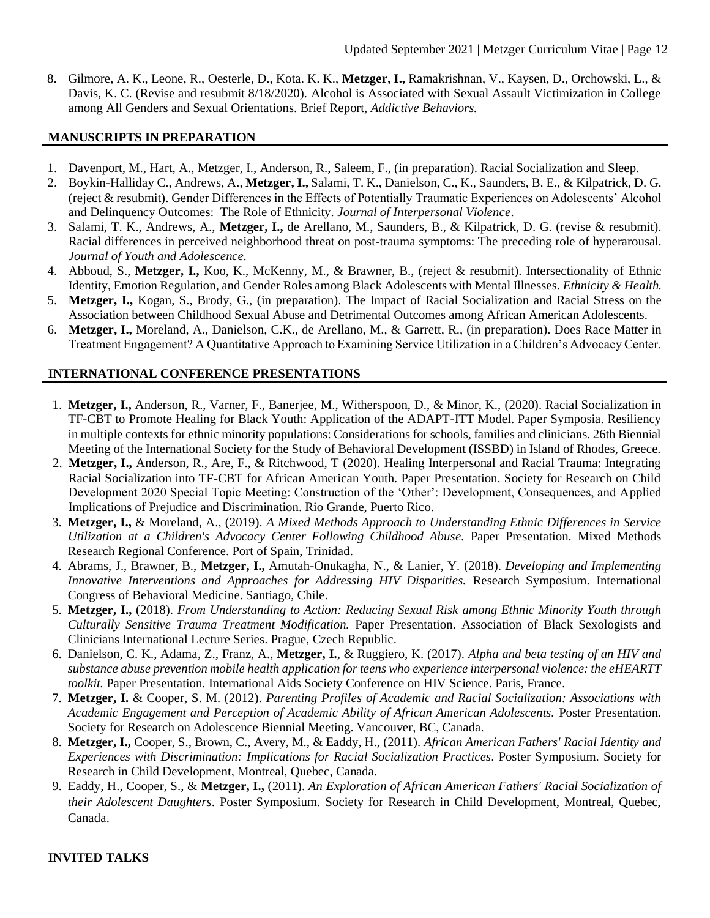8. Gilmore, A. K., Leone, R., Oesterle, D., Kota. K. K., **Metzger, I.,** Ramakrishnan, V., Kaysen, D., Orchowski, L., & Davis, K. C. (Revise and resubmit 8/18/2020). Alcohol is Associated with Sexual Assault Victimization in College among All Genders and Sexual Orientations. Brief Report, *Addictive Behaviors.*

# **MANUSCRIPTS IN PREPARATION**

- 1. Davenport, M., Hart, A., Metzger, I., Anderson, R., Saleem, F., (in preparation). Racial Socialization and Sleep.
- 2. Boykin-Halliday C., Andrews, A., **Metzger, I.,** Salami, T. K., Danielson, C., K., Saunders, B. E., & Kilpatrick, D. G. (reject & resubmit). Gender Differences in the Effects of Potentially Traumatic Experiences on Adolescents' Alcohol and Delinquency Outcomes: The Role of Ethnicity. *Journal of Interpersonal Violence*.
- 3. Salami, T. K., Andrews, A., **Metzger, I.,** de Arellano, M., Saunders, B., & Kilpatrick, D. G. (revise & resubmit). Racial differences in perceived neighborhood threat on post-trauma symptoms: The preceding role of hyperarousal. *Journal of Youth and Adolescence.*
- 4. Abboud, S., **Metzger, I.,** Koo, K., McKenny, M., & Brawner, B., (reject & resubmit). Intersectionality of Ethnic Identity, Emotion Regulation, and Gender Roles among Black Adolescents with Mental Illnesses. *Ethnicity & Health.*
- 5. **Metzger, I.,** Kogan, S., Brody, G., (in preparation). The Impact of Racial Socialization and Racial Stress on the Association between Childhood Sexual Abuse and Detrimental Outcomes among African American Adolescents.
- 6. **Metzger, I.,** Moreland, A., Danielson, C.K., de Arellano, M., & Garrett, R., (in preparation). Does Race Matter in Treatment Engagement? A Quantitative Approach to Examining Service Utilization in a Children's Advocacy Center.

# **INTERNATIONAL CONFERENCE PRESENTATIONS**

- 1. **Metzger, I.,** Anderson, R., Varner, F., Banerjee, M., Witherspoon, D., & Minor, K., (2020). Racial Socialization in TF-CBT to Promote Healing for Black Youth: Application of the ADAPT-ITT Model. Paper Symposia. Resiliency in multiple contexts for ethnic minority populations: Considerations for schools, families and clinicians. 26th Biennial Meeting of the International Society for the Study of Behavioral Development (ISSBD) in Island of Rhodes, Greece.
- 2. **Metzger, I.,** Anderson, R., Are, F., & Ritchwood, T (2020). Healing Interpersonal and Racial Trauma: Integrating Racial Socialization into TF-CBT for African American Youth. Paper Presentation. Society for Research on Child Development 2020 Special Topic Meeting: Construction of the 'Other': Development, Consequences, and Applied Implications of Prejudice and Discrimination. Rio Grande, Puerto Rico.
- 3. **Metzger, I.,** & Moreland, A., (2019). *A Mixed Methods Approach to Understanding Ethnic Differences in Service Utilization at a Children's Advocacy Center Following Childhood Abuse.* Paper Presentation. Mixed Methods Research Regional Conference. Port of Spain, Trinidad.
- 4. Abrams, J., Brawner, B., **Metzger, I.,** Amutah-Onukagha, N., & Lanier, Y. (2018). *Developing and Implementing Innovative Interventions and Approaches for Addressing HIV Disparities.* Research Symposium. International Congress of Behavioral Medicine. Santiago, Chile.
- 5. **Metzger, I.,** (2018). *From Understanding to Action: Reducing Sexual Risk among Ethnic Minority Youth through Culturally Sensitive Trauma Treatment Modification.* Paper Presentation. Association of Black Sexologists and Clinicians International Lecture Series. Prague, Czech Republic.
- 6. Danielson, C. K., Adama, Z., Franz, A., **Metzger, I.**, & Ruggiero, K. (2017). *Alpha and beta testing of an HIV and substance abuse prevention mobile health application for teens who experience interpersonal violence: the eHEARTT toolkit.* Paper Presentation. International Aids Society Conference on HIV Science. Paris, France.
- 7. **Metzger, I.** & Cooper, S. M. (2012). *Parenting Profiles of Academic and Racial Socialization: Associations with Academic Engagement and Perception of Academic Ability of African American Adolescents.* Poster Presentation. Society for Research on Adolescence Biennial Meeting. Vancouver, BC, Canada.
- 8. **Metzger, I.,** Cooper, S., Brown, C., Avery, M., & Eaddy, H., (2011). *African American Fathers' Racial Identity and Experiences with Discrimination: Implications for Racial Socialization Practices*. Poster Symposium. Society for Research in Child Development, Montreal, Quebec, Canada.
- 9. Eaddy, H., Cooper, S., & **Metzger, I.,** (2011). *An Exploration of African American Fathers' Racial Socialization of their Adolescent Daughters*. Poster Symposium. Society for Research in Child Development, Montreal, Quebec, Canada.

# **INVITED TALKS**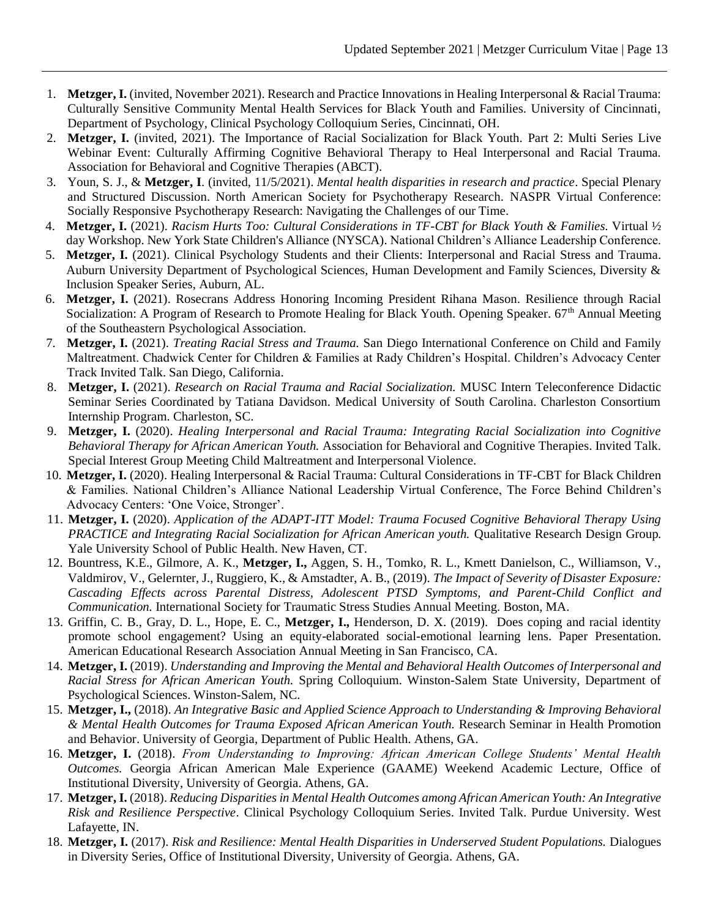- 1. **Metzger, I.** (invited, November 2021). Research and Practice Innovations in Healing Interpersonal & Racial Trauma: Culturally Sensitive Community Mental Health Services for Black Youth and Families. University of Cincinnati, Department of Psychology, Clinical Psychology Colloquium Series, Cincinnati, OH.
- 2. **Metzger, I.** (invited, 2021). The Importance of Racial Socialization for Black Youth. Part 2: Multi Series Live Webinar Event: Culturally Affirming Cognitive Behavioral Therapy to Heal Interpersonal and Racial Trauma. Association for Behavioral and Cognitive Therapies (ABCT).
- 3. Youn, S. J., & **Metzger, I**. (invited, 11/5/2021). *Mental health disparities in research and practice*. Special Plenary and Structured Discussion. North American Society for Psychotherapy Research. NASPR Virtual Conference: Socially Responsive Psychotherapy Research: Navigating the Challenges of our Time.
- 4. **Metzger, I.** (2021). *Racism Hurts Too: Cultural Considerations in TF-CBT for Black Youth & Families.* Virtual ½ day Workshop. New York State Children's Alliance (NYSCA). National Children's Alliance Leadership Conference.
- 5. **Metzger, I.** (2021). Clinical Psychology Students and their Clients: Interpersonal and Racial Stress and Trauma. Auburn University Department of Psychological Sciences, Human Development and Family Sciences, Diversity & Inclusion Speaker Series, Auburn, AL.
- 6. **Metzger, I.** (2021). Rosecrans Address Honoring Incoming President Rihana Mason. Resilience through Racial Socialization: A Program of Research to Promote Healing for Black Youth. Opening Speaker. 67<sup>th</sup> Annual Meeting of the Southeastern Psychological Association.
- 7. **Metzger, I.** (2021). *Treating Racial Stress and Trauma.* San Diego International Conference on Child and Family Maltreatment. Chadwick Center for Children & Families at Rady Children's Hospital. Children's Advocacy Center Track Invited Talk. San Diego, California.
- 8. **Metzger, I.** (2021). *Research on Racial Trauma and Racial Socialization.* MUSC Intern Teleconference Didactic Seminar Series Coordinated by Tatiana Davidson. Medical University of South Carolina. Charleston Consortium Internship Program. Charleston, SC.
- 9. **Metzger, I.** (2020). *Healing Interpersonal and Racial Trauma: Integrating Racial Socialization into Cognitive Behavioral Therapy for African American Youth.* Association for Behavioral and Cognitive Therapies. Invited Talk. Special Interest Group Meeting Child Maltreatment and Interpersonal Violence.
- 10. **Metzger, I.** (2020). Healing Interpersonal & Racial Trauma: Cultural Considerations in TF-CBT for Black Children & Families. National Children's Alliance National Leadership Virtual Conference, The Force Behind Children's Advocacy Centers: 'One Voice, Stronger'.
- 11. **Metzger, I.** (2020). *Application of the ADAPT-ITT Model: Trauma Focused Cognitive Behavioral Therapy Using PRACTICE and Integrating Racial Socialization for African American youth.* Qualitative Research Design Group. Yale University School of Public Health. New Haven, CT.
- 12. Bountress, K.E., Gilmore, A. K., **Metzger, I.,** Aggen, S. H., Tomko, R. L., Kmett Danielson, C., Williamson, V., Valdmirov, V., Gelernter, J., Ruggiero, K., & Amstadter, A. B., (2019). *The Impact of Severity of Disaster Exposure: Cascading Effects across Parental Distress, Adolescent PTSD Symptoms, and Parent-Child Conflict and Communication.* International Society for Traumatic Stress Studies Annual Meeting. Boston, MA.
- 13. Griffin, C. B., Gray, D. L., Hope, E. C., **Metzger, I.,** Henderson, D. X. (2019). Does coping and racial identity promote school engagement? Using an equity-elaborated social-emotional learning lens. Paper Presentation. American Educational Research Association Annual Meeting in San Francisco, CA.
- 14. **Metzger, I.** (2019). *Understanding and Improving the Mental and Behavioral Health Outcomes of Interpersonal and Racial Stress for African American Youth.* Spring Colloquium. Winston-Salem State University, Department of Psychological Sciences. Winston-Salem, NC.
- 15. **Metzger, I.,** (2018). *An Integrative Basic and Applied Science Approach to Understanding & Improving Behavioral & Mental Health Outcomes for Trauma Exposed African American Youth.* Research Seminar in Health Promotion and Behavior. University of Georgia, Department of Public Health. Athens, GA.
- 16. **Metzger, I.** (2018). *From Understanding to Improving: African American College Students' Mental Health Outcomes.* Georgia African American Male Experience (GAAME) Weekend Academic Lecture, Office of Institutional Diversity, University of Georgia. Athens, GA.
- 17. **Metzger, I.** (2018). *Reducing Disparities in Mental Health Outcomes among African American Youth: An Integrative Risk and Resilience Perspective*. Clinical Psychology Colloquium Series. Invited Talk. Purdue University. West Lafayette, IN.
- 18. **Metzger, I.** (2017). *Risk and Resilience: Mental Health Disparities in Underserved Student Populations.* Dialogues in Diversity Series, Office of Institutional Diversity, University of Georgia. Athens, GA.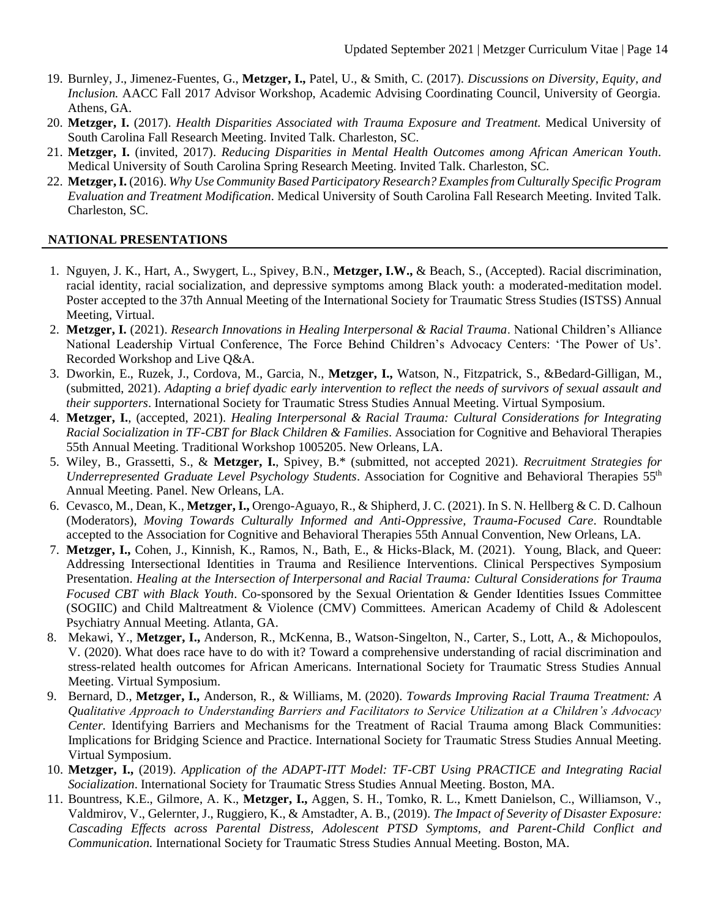- 19. Burnley, J., Jimenez-Fuentes, G., **Metzger, I.,** Patel, U., & Smith, C. (2017). *Discussions on Diversity, Equity, and Inclusion.* AACC Fall 2017 Advisor Workshop, Academic Advising Coordinating Council, University of Georgia. Athens, GA.
- 20. **Metzger, I.** (2017). *Health Disparities Associated with Trauma Exposure and Treatment.* Medical University of South Carolina Fall Research Meeting. Invited Talk. Charleston, SC.
- 21. **Metzger, I.** (invited, 2017). *Reducing Disparities in Mental Health Outcomes among African American Youth*. Medical University of South Carolina Spring Research Meeting. Invited Talk. Charleston, SC.
- 22. **Metzger, I.** (2016). *Why Use Community Based Participatory Research? Examples from Culturally Specific Program Evaluation and Treatment Modification*. Medical University of South Carolina Fall Research Meeting. Invited Talk. Charleston, SC.

# **NATIONAL PRESENTATIONS**

- 1. Nguyen, J. K., Hart, A., Swygert, L., Spivey, B.N., **Metzger, I.W.,** & Beach, S., (Accepted). Racial discrimination, racial identity, racial socialization, and depressive symptoms among Black youth: a moderated-meditation model. Poster accepted to the 37th Annual Meeting of the International Society for Traumatic Stress Studies (ISTSS) Annual Meeting, Virtual.
- 2. **Metzger, I.** (2021). *Research Innovations in Healing Interpersonal & Racial Trauma*. National Children's Alliance National Leadership Virtual Conference, The Force Behind Children's Advocacy Centers: 'The Power of Us'. Recorded Workshop and Live Q&A.
- 3. Dworkin, E., Ruzek, J., Cordova, M., Garcia, N., **Metzger, I.,** Watson, N., Fitzpatrick, S., &Bedard-Gilligan, M., (submitted, 2021). *Adapting a brief dyadic early intervention to reflect the needs of survivors of sexual assault and their supporters*. International Society for Traumatic Stress Studies Annual Meeting. Virtual Symposium.
- 4. **Metzger, I.**, (accepted, 2021). *Healing Interpersonal & Racial Trauma: Cultural Considerations for Integrating Racial Socialization in TF-CBT for Black Children & Families*. Association for Cognitive and Behavioral Therapies 55th Annual Meeting. Traditional Workshop 1005205. New Orleans, LA.
- 5. Wiley, B., Grassetti, S., & **Metzger, I.**, Spivey, B.\* (submitted, not accepted 2021). *Recruitment Strategies for Underrepresented Graduate Level Psychology Students*. Association for Cognitive and Behavioral Therapies 55th Annual Meeting. Panel. New Orleans, LA.
- 6. Cevasco, M., Dean, K., **Metzger, I.,** Orengo-Aguayo, R., & Shipherd, J. C. (2021). In S. N. Hellberg & C. D. Calhoun (Moderators), *Moving Towards Culturally Informed and Anti-Oppressive, Trauma-Focused Care*. Roundtable accepted to the Association for Cognitive and Behavioral Therapies 55th Annual Convention, New Orleans, LA.
- 7. **Metzger, I.,** Cohen, J., Kinnish, K., Ramos, N., Bath, E., & Hicks-Black, M. (2021). Young, Black, and Queer: Addressing Intersectional Identities in Trauma and Resilience Interventions. Clinical Perspectives Symposium Presentation. *Healing at the Intersection of Interpersonal and Racial Trauma: Cultural Considerations for Trauma Focused CBT with Black Youth*. Co-sponsored by the Sexual Orientation & Gender Identities Issues Committee (SOGIIC) and Child Maltreatment & Violence (CMV) Committees. American Academy of Child & Adolescent Psychiatry Annual Meeting. Atlanta, GA.
- 8. Mekawi, Y., **Metzger, I.,** Anderson, R., McKenna, B., Watson-Singelton, N., Carter, S., Lott, A., & Michopoulos, V. (2020). What does race have to do with it? Toward a comprehensive understanding of racial discrimination and stress-related health outcomes for African Americans. International Society for Traumatic Stress Studies Annual Meeting. Virtual Symposium.
- 9. Bernard, D., **Metzger, I.,** Anderson, R., & Williams, M. (2020). *Towards Improving Racial Trauma Treatment: A Qualitative Approach to Understanding Barriers and Facilitators to Service Utilization at a Children's Advocacy Center.* Identifying Barriers and Mechanisms for the Treatment of Racial Trauma among Black Communities: Implications for Bridging Science and Practice. International Society for Traumatic Stress Studies Annual Meeting. Virtual Symposium.
- 10. **Metzger, I.,** (2019). *Application of the ADAPT-ITT Model: TF-CBT Using PRACTICE and Integrating Racial Socialization*. International Society for Traumatic Stress Studies Annual Meeting. Boston, MA.
- 11. Bountress, K.E., Gilmore, A. K., **Metzger, I.,** Aggen, S. H., Tomko, R. L., Kmett Danielson, C., Williamson, V., Valdmirov, V., Gelernter, J., Ruggiero, K., & Amstadter, A. B., (2019). *The Impact of Severity of Disaster Exposure: Cascading Effects across Parental Distress, Adolescent PTSD Symptoms, and Parent-Child Conflict and Communication.* International Society for Traumatic Stress Studies Annual Meeting. Boston, MA.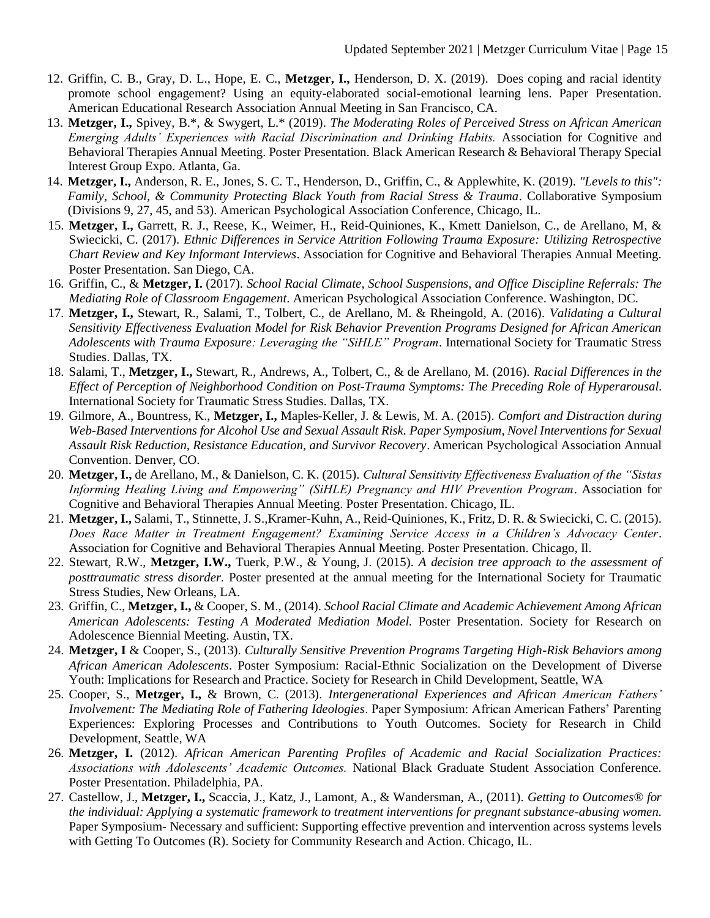- 12. Griffin, C. B., Gray, D. L., Hope, E. C., **Metzger, I.,** Henderson, D. X. (2019). Does coping and racial identity promote school engagement? Using an equity-elaborated social-emotional learning lens. Paper Presentation. American Educational Research Association Annual Meeting in San Francisco, CA.
- 13. **Metzger, I.,** Spivey, B.\*, & Swygert, L.\* (2019). *The Moderating Roles of Perceived Stress on African American Emerging Adults' Experiences with Racial Discrimination and Drinking Habits.* Association for Cognitive and Behavioral Therapies Annual Meeting. Poster Presentation. Black American Research & Behavioral Therapy Special Interest Group Expo. Atlanta, Ga.
- 14. **Metzger, I.,** Anderson, R. E., Jones, S. C. T., Henderson, D., Griffin, C., & Applewhite, K. (2019). *"Levels to this": Family, School, & Community Protecting Black Youth from Racial Stress & Trauma*. Collaborative Symposium (Divisions 9, 27, 45, and 53). American Psychological Association Conference, Chicago, IL.
- 15. **Metzger, I.,** Garrett, R. J., Reese, K., Weimer, H., Reid-Quiniones, K., Kmett Danielson, C., de Arellano, M, & Swiecicki, C. (2017). *Ethnic Differences in Service Attrition Following Trauma Exposure: Utilizing Retrospective Chart Review and Key Informant Interviews*. Association for Cognitive and Behavioral Therapies Annual Meeting. Poster Presentation. San Diego, CA.
- 16. Griffin, C., & **Metzger, I.** (2017). *School Racial Climate, School Suspensions, and Office Discipline Referrals: The Mediating Role of Classroom Engagement*. American Psychological Association Conference. Washington, DC.
- 17. **Metzger, I.,** Stewart, R., Salami, T., Tolbert, C., de Arellano, M. & Rheingold, A. (2016). *Validating a Cultural Sensitivity Effectiveness Evaluation Model for Risk Behavior Prevention Programs Designed for African American Adolescents with Trauma Exposure: Leveraging the "SiHLE" Program*. International Society for Traumatic Stress Studies. Dallas, TX.
- 18. Salami, T., **Metzger, I.,** Stewart, R., Andrews, A., Tolbert, C., & de Arellano, M. (2016). *Racial Differences in the Effect of Perception of Neighborhood Condition on Post-Trauma Symptoms: The Preceding Role of Hyperarousal*. International Society for Traumatic Stress Studies. Dallas, TX.
- 19. Gilmore, A., Bountress, K., **Metzger, I.,** Maples-Keller, J. & Lewis, M. A. (2015). *Comfort and Distraction during Web-Based Interventions for Alcohol Use and Sexual Assault Risk. Paper Symposium, Novel Interventions for Sexual Assault Risk Reduction, Resistance Education, and Survivor Recovery*. American Psychological Association Annual Convention. Denver, CO.
- 20. **Metzger, I.,** de Arellano, M., & Danielson, C. K. (2015). *Cultural Sensitivity Effectiveness Evaluation of the "Sistas Informing Healing Living and Empowering" (SiHLE) Pregnancy and HIV Prevention Program*. Association for Cognitive and Behavioral Therapies Annual Meeting. Poster Presentation. Chicago, IL.
- 21. **Metzger, I.,** Salami, T., Stinnette, J. S.,Kramer-Kuhn, A., Reid-Quiniones, K., Fritz, D. R. & Swiecicki, C. C. (2015). *Does Race Matter in Treatment Engagement? Examining Service Access in a Children's Advocacy Center*. Association for Cognitive and Behavioral Therapies Annual Meeting. Poster Presentation. Chicago, Il.
- 22. Stewart, R.W., **Metzger, I.W.,** Tuerk, P.W., & Young, J. (2015). *A decision tree approach to the assessment of posttraumatic stress disorder.* Poster presented at the annual meeting for the International Society for Traumatic Stress Studies, New Orleans, LA.
- 23. Griffin, C., **Metzger, I.,** & Cooper, S. M., (2014). *School Racial Climate and Academic Achievement Among African American Adolescents: Testing A Moderated Mediation Model.* Poster Presentation. Society for Research on Adolescence Biennial Meeting. Austin, TX.
- 24. **Metzger, I** & Cooper, S., (2013). *Culturally Sensitive Prevention Programs Targeting High-Risk Behaviors among African American Adolescents*. Poster Symposium: Racial-Ethnic Socialization on the Development of Diverse Youth: Implications for Research and Practice. Society for Research in Child Development, Seattle, WA
- 25. Cooper, S., **Metzger, I.,** & Brown, C. (2013). *Intergenerational Experiences and African American Fathers' Involvement: The Mediating Role of Fathering Ideologies*. Paper Symposium: African American Fathers' Parenting Experiences: Exploring Processes and Contributions to Youth Outcomes. Society for Research in Child Development, Seattle, WA
- 26. **Metzger, I.** (2012). *African American Parenting Profiles of Academic and Racial Socialization Practices: Associations with Adolescents' Academic Outcomes.* National Black Graduate Student Association Conference. Poster Presentation. Philadelphia, PA.
- 27. Castellow, J., **Metzger, I.,** Scaccia, J., Katz, J., Lamont, A., & Wandersman, A., (2011). *Getting to Outcomes® for the individual: Applying a systematic framework to treatment interventions for pregnant substance-abusing women.* Paper Symposium- Necessary and sufficient: Supporting effective prevention and intervention across systems levels with Getting To Outcomes (R). Society for Community Research and Action. Chicago, IL.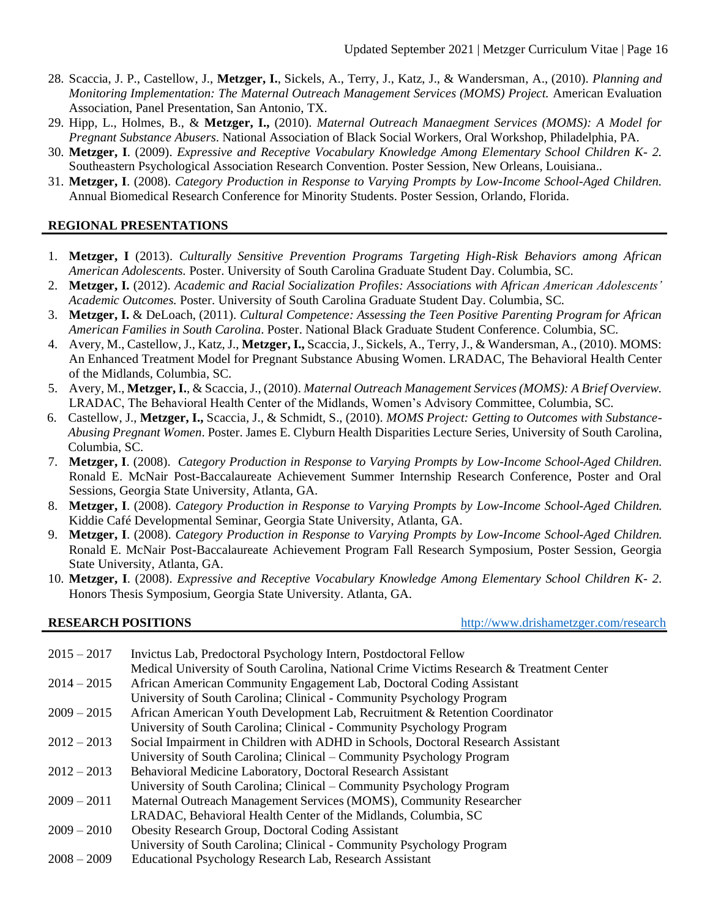- 28. Scaccia, J. P., Castellow, J., **Metzger, I.**, Sickels, A., Terry, J., Katz, J., & Wandersman, A., (2010). *Planning and Monitoring Implementation: The Maternal Outreach Management Services (MOMS) Project.* American Evaluation Association, Panel Presentation, San Antonio, TX.
- 29. Hipp, L., Holmes, B., & **Metzger, I.,** (2010). *Maternal Outreach Manaegment Services (MOMS): A Model for Pregnant Substance Abusers*. National Association of Black Social Workers, Oral Workshop, Philadelphia, PA.
- 30. **Metzger, I**. (2009). *Expressive and Receptive Vocabulary Knowledge Among Elementary School Children K- 2.*  Southeastern Psychological Association Research Convention. Poster Session, New Orleans, Louisiana..
- 31. **Metzger, I**. (2008). *Category Production in Response to Varying Prompts by Low-Income School-Aged Children.*  Annual Biomedical Research Conference for Minority Students. Poster Session, Orlando, Florida.

# **REGIONAL PRESENTATIONS**

- 1. **Metzger, I** (2013). *Culturally Sensitive Prevention Programs Targeting High-Risk Behaviors among African American Adolescents.* Poster. University of South Carolina Graduate Student Day. Columbia, SC.
- 2. **Metzger, I.** (2012). *Academic and Racial Socialization Profiles: Associations with African American Adolescents' Academic Outcomes.* Poster. University of South Carolina Graduate Student Day. Columbia, SC.
- 3. **Metzger, I.** & DeLoach, (2011). *Cultural Competence: Assessing the Teen Positive Parenting Program for African American Families in South Carolina*. Poster. National Black Graduate Student Conference. Columbia, SC.
- 4. Avery, M., Castellow, J., Katz, J., **Metzger, I.,** Scaccia, J., Sickels, A., Terry, J., & Wandersman, A., (2010). MOMS: An Enhanced Treatment Model for Pregnant Substance Abusing Women. LRADAC, The Behavioral Health Center of the Midlands, Columbia, SC.
- 5. Avery, M., **Metzger, I.**, & Scaccia, J., (2010). *Maternal Outreach Management Services (MOMS): A Brief Overview.* LRADAC, The Behavioral Health Center of the Midlands, Women's Advisory Committee, Columbia, SC.
- 6. Castellow, J., **Metzger, I.,** Scaccia, J., & Schmidt, S., (2010). *MOMS Project: Getting to Outcomes with Substance-Abusing Pregnant Women*. Poster. James E. Clyburn Health Disparities Lecture Series, University of South Carolina, Columbia, SC.
- 7. **Metzger, I**. (2008). *Category Production in Response to Varying Prompts by Low-Income School-Aged Children.*  Ronald E. McNair Post-Baccalaureate Achievement Summer Internship Research Conference, Poster and Oral Sessions, Georgia State University, Atlanta, GA.
- 8. **Metzger, I**. (2008). *Category Production in Response to Varying Prompts by Low-Income School-Aged Children.*  Kiddie Café Developmental Seminar, Georgia State University, Atlanta, GA.
- 9. **Metzger, I**. (2008). *Category Production in Response to Varying Prompts by Low-Income School-Aged Children.*  Ronald E. McNair Post-Baccalaureate Achievement Program Fall Research Symposium, Poster Session, Georgia State University, Atlanta, GA.
- 10. **Metzger, I**. (2008). *Expressive and Receptive Vocabulary Knowledge Among Elementary School Children K- 2.*  Honors Thesis Symposium, Georgia State University. Atlanta, GA.

**RESEARCH POSITIONS** <http://www.drishametzger.com/research>

| $2015 - 2017$ | Invictus Lab, Predoctoral Psychology Intern, Postdoctoral Fellow                         |
|---------------|------------------------------------------------------------------------------------------|
|               | Medical University of South Carolina, National Crime Victims Research & Treatment Center |
| $2014 - 2015$ | African American Community Engagement Lab, Doctoral Coding Assistant                     |
|               | University of South Carolina; Clinical - Community Psychology Program                    |
| $2009 - 2015$ | African American Youth Development Lab, Recruitment & Retention Coordinator              |
|               | University of South Carolina; Clinical - Community Psychology Program                    |
| $2012 - 2013$ | Social Impairment in Children with ADHD in Schools, Doctoral Research Assistant          |
|               | University of South Carolina; Clinical – Community Psychology Program                    |
| $2012 - 2013$ | Behavioral Medicine Laboratory, Doctoral Research Assistant                              |
|               | University of South Carolina; Clinical – Community Psychology Program                    |
| $2009 - 2011$ | Maternal Outreach Management Services (MOMS), Community Researcher                       |
|               | LRADAC, Behavioral Health Center of the Midlands, Columbia, SC                           |
| $2009 - 2010$ | <b>Obesity Research Group, Doctoral Coding Assistant</b>                                 |
|               | University of South Carolina; Clinical - Community Psychology Program                    |
| $2008 - 2009$ | Educational Psychology Research Lab, Research Assistant                                  |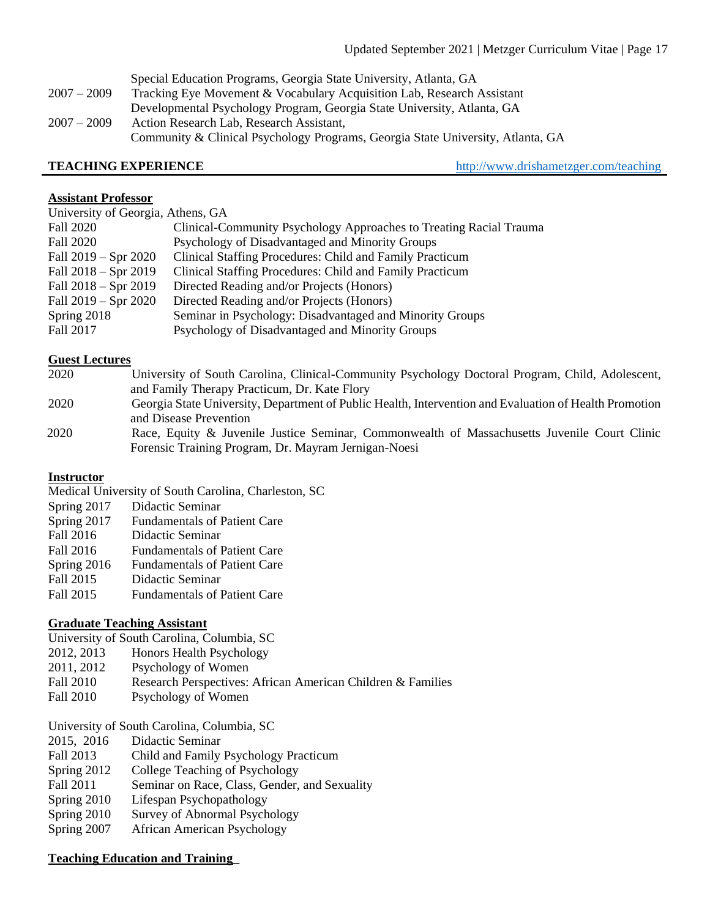Special Education Programs, Georgia State University, Atlanta, GA 2007 – 2009 Tracking Eye Movement & Vocabulary Acquisition Lab, Research Assistant Developmental Psychology Program, Georgia State University, Atlanta, GA 2007 – 2009 Action Research Lab, Research Assistant, Community & Clinical Psychology Programs, Georgia State University, Atlanta, GA

**TEACHING EXPERIENCE** <http://www.drishametzger.com/teaching>

### **Assistant Professor**

| University of Georgia, Athens, GA |                                                                    |  |
|-----------------------------------|--------------------------------------------------------------------|--|
| Fall 2020                         | Clinical-Community Psychology Approaches to Treating Racial Trauma |  |
| Fall 2020                         | Psychology of Disadvantaged and Minority Groups                    |  |
| Fall $2019 - Spr 2020$            | Clinical Staffing Procedures: Child and Family Practicum           |  |
| Fall $2018 - Spr 2019$            | Clinical Staffing Procedures: Child and Family Practicum           |  |
| Fall $2018 - Spr 2019$            | Directed Reading and/or Projects (Honors)                          |  |
| Fall $2019 - Spr 2020$            | Directed Reading and/or Projects (Honors)                          |  |
| Spring 2018                       | Seminar in Psychology: Disadvantaged and Minority Groups           |  |
| Fall 2017                         | Psychology of Disadvantaged and Minority Groups                    |  |

# **Guest Lectures**

| 2020 | University of South Carolina, Clinical-Community Psychology Doctoral Program, Child, Adolescent,       |
|------|--------------------------------------------------------------------------------------------------------|
|      | and Family Therapy Practicum, Dr. Kate Flory                                                           |
| 2020 | Georgia State University, Department of Public Health, Intervention and Evaluation of Health Promotion |
|      | and Disease Prevention                                                                                 |
| 2020 | Race, Equity & Juvenile Justice Seminar, Commonwealth of Massachusetts Juvenile Court Clinic           |
|      | Forensic Training Program, Dr. Mayram Jernigan-Noesi                                                   |

# **Instructor**

Medical University of South Carolina, Charleston, SC

- Spring 2017 Didactic Seminar
- Spring 2017 Fundamentals of Patient Care
- Fall 2016 Didactic Seminar
- Fall 2016 Fundamentals of Patient Care
- Spring 2016 Fundamentals of Patient Care
- Fall 2015 Didactic Seminar
- Fall 2015 Fundamentals of Patient Care

# **Graduate Teaching Assistant**

- University of South Carolina, Columbia, SC
- 2012, 2013 Honors Health Psychology
- 2011, 2012 Psychology of Women
- Fall 2010 Research Perspectives: African American Children & Families
- Fall 2010 Psychology of Women
- University of South Carolina, Columbia, SC
- 2015, 2016 Didactic Seminar
- Fall 2013 Child and Family Psychology Practicum
- Spring 2012 College Teaching of Psychology
- Fall 2011 Seminar on Race, Class, Gender, and Sexuality
- Spring 2010 Lifespan Psychopathology
- Spring 2010 Survey of Abnormal Psychology
- Spring 2007 African American Psychology

# **Teaching Education and Training\_**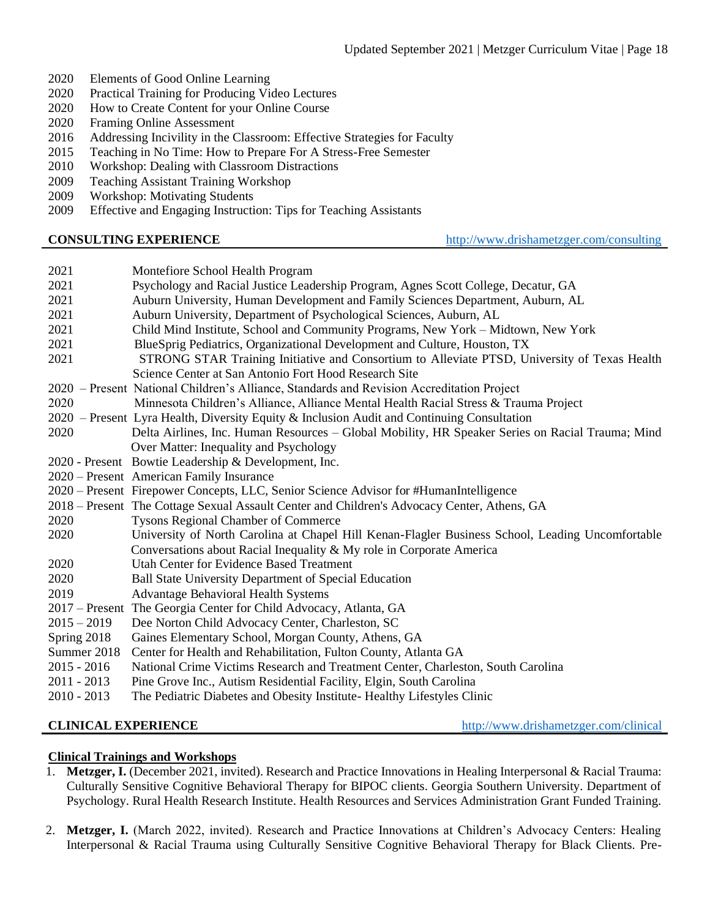- 2020 Elements of Good Online Learning
- 2020 Practical Training for Producing Video Lectures
- 2020 How to Create Content for your Online Course
- 2020 Framing Online Assessment
- 2016 Addressing Incivility in the Classroom: Effective Strategies for Faculty
- 2015 Teaching in No Time: How to Prepare For A Stress-Free Semester
- 2010 Workshop: Dealing with Classroom Distractions
- 2009 Teaching Assistant Training Workshop
- 2009 Workshop: Motivating Students
- 2009 Effective and Engaging Instruction: Tips for Teaching Assistants

**CONSULTING EXPERIENCE** <http://www.drishametzger.com/consulting>

| 2021<br>2021<br>2021<br>2021<br>2021<br>2021 | Montefiore School Health Program<br>Psychology and Racial Justice Leadership Program, Agnes Scott College, Decatur, GA<br>Auburn University, Human Development and Family Sciences Department, Auburn, AL<br>Auburn University, Department of Psychological Sciences, Auburn, AL<br>Child Mind Institute, School and Community Programs, New York - Midtown, New York<br>BlueSprig Pediatrics, Organizational Development and Culture, Houston, TX |
|----------------------------------------------|----------------------------------------------------------------------------------------------------------------------------------------------------------------------------------------------------------------------------------------------------------------------------------------------------------------------------------------------------------------------------------------------------------------------------------------------------|
| 2021                                         | STRONG STAR Training Initiative and Consortium to Alleviate PTSD, University of Texas Health<br>Science Center at San Antonio Fort Hood Research Site                                                                                                                                                                                                                                                                                              |
| 2020                                         | 2020 – Present National Children's Alliance, Standards and Revision Accreditation Project<br>Minnesota Children's Alliance, Alliance Mental Health Racial Stress & Trauma Project<br>2020 – Present Lyra Health, Diversity Equity & Inclusion Audit and Continuing Consultation                                                                                                                                                                    |
| 2020                                         | Delta Airlines, Inc. Human Resources – Global Mobility, HR Speaker Series on Racial Trauma; Mind                                                                                                                                                                                                                                                                                                                                                   |
|                                              | Over Matter: Inequality and Psychology                                                                                                                                                                                                                                                                                                                                                                                                             |
|                                              | 2020 - Present Bowtie Leadership & Development, Inc.                                                                                                                                                                                                                                                                                                                                                                                               |
|                                              | 2020 – Present American Family Insurance                                                                                                                                                                                                                                                                                                                                                                                                           |
|                                              | 2020 – Present Firepower Concepts, LLC, Senior Science Advisor for #HumanIntelligence                                                                                                                                                                                                                                                                                                                                                              |
|                                              | 2018 - Present The Cottage Sexual Assault Center and Children's Advocacy Center, Athens, GA                                                                                                                                                                                                                                                                                                                                                        |
| 2020                                         | <b>Tysons Regional Chamber of Commerce</b>                                                                                                                                                                                                                                                                                                                                                                                                         |
| 2020                                         | University of North Carolina at Chapel Hill Kenan-Flagler Business School, Leading Uncomfortable<br>Conversations about Racial Inequality & My role in Corporate America                                                                                                                                                                                                                                                                           |
| 2020                                         | <b>Utah Center for Evidence Based Treatment</b>                                                                                                                                                                                                                                                                                                                                                                                                    |
| 2020                                         | <b>Ball State University Department of Special Education</b>                                                                                                                                                                                                                                                                                                                                                                                       |
| 2019                                         | <b>Advantage Behavioral Health Systems</b>                                                                                                                                                                                                                                                                                                                                                                                                         |
|                                              | 2017 – Present The Georgia Center for Child Advocacy, Atlanta, GA                                                                                                                                                                                                                                                                                                                                                                                  |
| $2015 - 2019$                                | Dee Norton Child Advocacy Center, Charleston, SC                                                                                                                                                                                                                                                                                                                                                                                                   |
| Spring 2018                                  | Gaines Elementary School, Morgan County, Athens, GA                                                                                                                                                                                                                                                                                                                                                                                                |
| Summer 2018                                  | Center for Health and Rehabilitation, Fulton County, Atlanta GA                                                                                                                                                                                                                                                                                                                                                                                    |
| $2015 - 2016$                                | National Crime Victims Research and Treatment Center, Charleston, South Carolina                                                                                                                                                                                                                                                                                                                                                                   |
| $2011 - 2013$                                | Pine Grove Inc., Autism Residential Facility, Elgin, South Carolina                                                                                                                                                                                                                                                                                                                                                                                |
| $2010 - 2013$                                | The Pediatric Diabetes and Obesity Institute-Healthy Lifestyles Clinic                                                                                                                                                                                                                                                                                                                                                                             |
|                                              |                                                                                                                                                                                                                                                                                                                                                                                                                                                    |

**CLINICAL EXPERIENCE** <http://www.drishametzger.com/clinical>

# **Clinical Trainings and Workshops**

- 1. **Metzger, I.** (December 2021, invited). Research and Practice Innovations in Healing Interpersonal & Racial Trauma: Culturally Sensitive Cognitive Behavioral Therapy for BIPOC clients. Georgia Southern University. Department of Psychology. Rural Health Research Institute. Health Resources and Services Administration Grant Funded Training.
- 2. **Metzger, I.** (March 2022, invited). Research and Practice Innovations at Children's Advocacy Centers: Healing Interpersonal & Racial Trauma using Culturally Sensitive Cognitive Behavioral Therapy for Black Clients. Pre-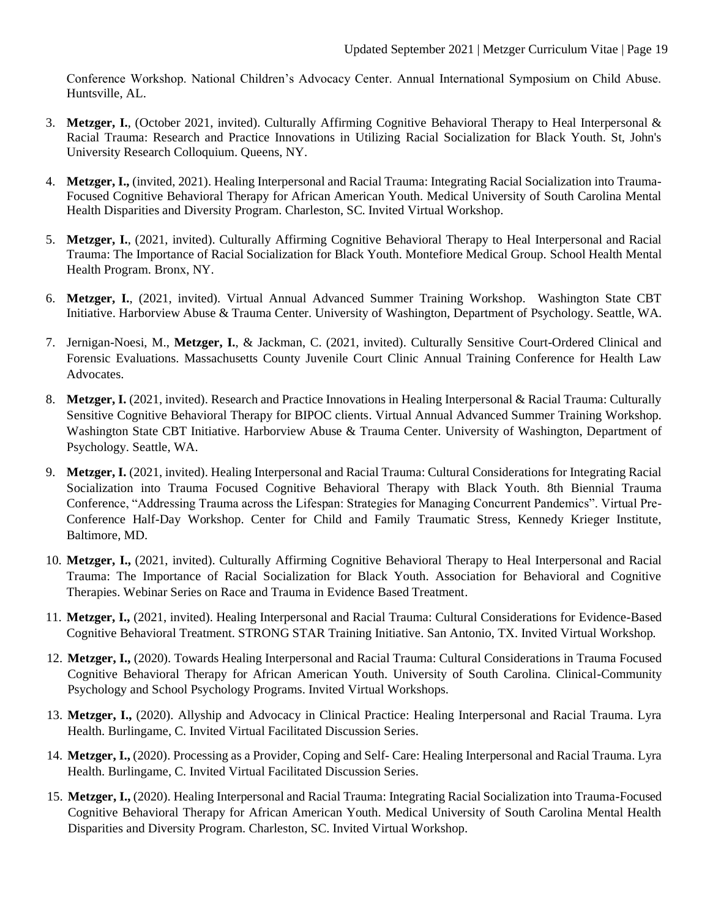Conference Workshop. National Children's Advocacy Center. Annual International Symposium on Child Abuse. Huntsville, AL.

- 3. **Metzger, I.**, (October 2021, invited). Culturally Affirming Cognitive Behavioral Therapy to Heal Interpersonal & Racial Trauma: Research and Practice Innovations in Utilizing Racial Socialization for Black Youth. St, John's University Research Colloquium. Queens, NY.
- 4. **Metzger, I.,** (invited, 2021). Healing Interpersonal and Racial Trauma: Integrating Racial Socialization into Trauma-Focused Cognitive Behavioral Therapy for African American Youth. Medical University of South Carolina Mental Health Disparities and Diversity Program. Charleston, SC. Invited Virtual Workshop.
- 5. **Metzger, I.**, (2021, invited). Culturally Affirming Cognitive Behavioral Therapy to Heal Interpersonal and Racial Trauma: The Importance of Racial Socialization for Black Youth. Montefiore Medical Group. School Health Mental Health Program. Bronx, NY.
- 6. **Metzger, I.**, (2021, invited). Virtual Annual Advanced Summer Training Workshop. Washington State CBT Initiative. Harborview Abuse & Trauma Center. University of Washington, Department of Psychology. Seattle, WA.
- 7. Jernigan-Noesi, M., **Metzger, I.**, & Jackman, C. (2021, invited). Culturally Sensitive Court-Ordered Clinical and Forensic Evaluations. Massachusetts County Juvenile Court Clinic Annual Training Conference for Health Law **Advocates**
- 8. **Metzger, I.** (2021, invited). Research and Practice Innovations in Healing Interpersonal & Racial Trauma: Culturally Sensitive Cognitive Behavioral Therapy for BIPOC clients. Virtual Annual Advanced Summer Training Workshop. Washington State CBT Initiative. Harborview Abuse & Trauma Center. University of Washington, Department of Psychology. Seattle, WA.
- 9. **Metzger, I.** (2021, invited). Healing Interpersonal and Racial Trauma: Cultural Considerations for Integrating Racial Socialization into Trauma Focused Cognitive Behavioral Therapy with Black Youth. 8th Biennial Trauma Conference, "Addressing Trauma across the Lifespan: Strategies for Managing Concurrent Pandemics". Virtual Pre-Conference Half-Day Workshop. Center for Child and Family Traumatic Stress, Kennedy Krieger Institute, Baltimore, MD.
- 10. **Metzger, I.,** (2021, invited). Culturally Affirming Cognitive Behavioral Therapy to Heal Interpersonal and Racial Trauma: The Importance of Racial Socialization for Black Youth. Association for Behavioral and Cognitive Therapies. Webinar Series on Race and Trauma in Evidence Based Treatment.
- 11. **Metzger, I.,** (2021, invited). Healing Interpersonal and Racial Trauma: Cultural Considerations for Evidence-Based Cognitive Behavioral Treatment. STRONG STAR Training Initiative. San Antonio, TX. Invited Virtual Workshop.
- 12. **Metzger, I.,** (2020). Towards Healing Interpersonal and Racial Trauma: Cultural Considerations in Trauma Focused Cognitive Behavioral Therapy for African American Youth. University of South Carolina. Clinical-Community Psychology and School Psychology Programs. Invited Virtual Workshops.
- 13. **Metzger, I.,** (2020). Allyship and Advocacy in Clinical Practice: Healing Interpersonal and Racial Trauma. Lyra Health. Burlingame, C. Invited Virtual Facilitated Discussion Series.
- 14. **Metzger, I.,** (2020). Processing as a Provider, Coping and Self- Care: Healing Interpersonal and Racial Trauma. Lyra Health. Burlingame, C. Invited Virtual Facilitated Discussion Series.
- 15. **Metzger, I.,** (2020). Healing Interpersonal and Racial Trauma: Integrating Racial Socialization into Trauma-Focused Cognitive Behavioral Therapy for African American Youth. Medical University of South Carolina Mental Health Disparities and Diversity Program. Charleston, SC. Invited Virtual Workshop.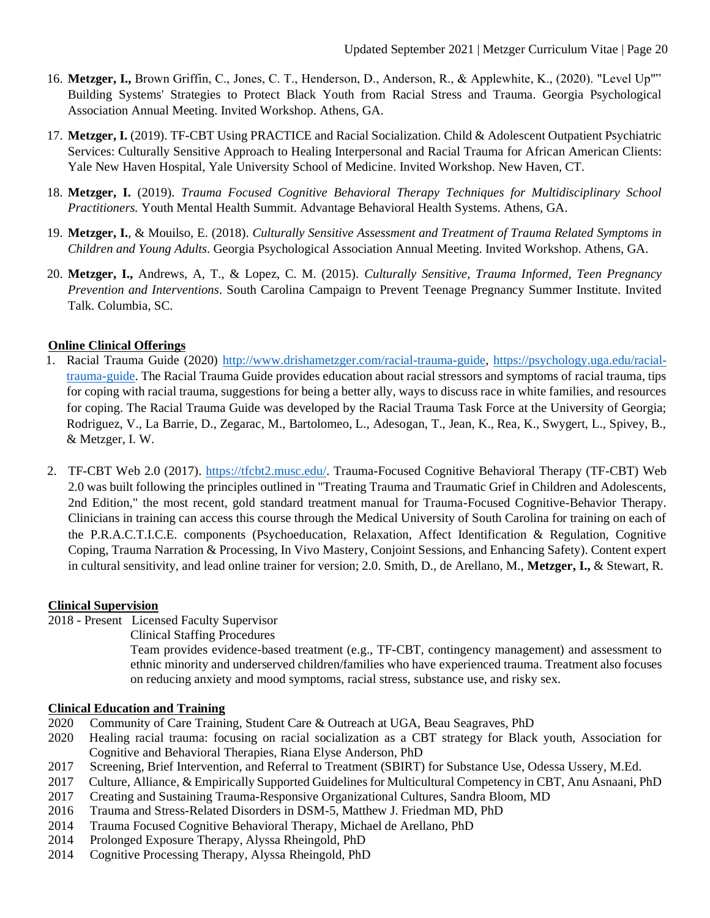- 16. **Metzger, I.,** Brown Griffin, C., Jones, C. T., Henderson, D., Anderson, R., & Applewhite, K., (2020). "Level Up"" Building Systems' Strategies to Protect Black Youth from Racial Stress and Trauma. Georgia Psychological Association Annual Meeting. Invited Workshop. Athens, GA.
- 17. **Metzger, I.** (2019). TF-CBT Using PRACTICE and Racial Socialization. Child & Adolescent Outpatient Psychiatric Services: Culturally Sensitive Approach to Healing Interpersonal and Racial Trauma for African American Clients: Yale New Haven Hospital, Yale University School of Medicine. Invited Workshop. New Haven, CT.
- 18. **Metzger, I.** (2019). *Trauma Focused Cognitive Behavioral Therapy Techniques for Multidisciplinary School Practitioners.* Youth Mental Health Summit. Advantage Behavioral Health Systems. Athens, GA.
- 19. **Metzger, I.**, & Mouilso, E. (2018). *Culturally Sensitive Assessment and Treatment of Trauma Related Symptoms in Children and Young Adults*. Georgia Psychological Association Annual Meeting. Invited Workshop. Athens, GA.
- 20. **Metzger, I.,** Andrews, A, T., & Lopez, C. M. (2015). *Culturally Sensitive, Trauma Informed, Teen Pregnancy Prevention and Interventions*. South Carolina Campaign to Prevent Teenage Pregnancy Summer Institute. Invited Talk. Columbia, SC.

# **Online Clinical Offerings**

- 1. Racial Trauma Guide (2020) [http://www.drishametzger.com/racial-trauma-guide,](http://www.drishametzger.com/racial-trauma-guide) [https://psychology.uga.edu/racial](https://psychology.uga.edu/racial-trauma-guide)[trauma-guide.](https://psychology.uga.edu/racial-trauma-guide) The Racial Trauma Guide provides education about racial stressors and symptoms of racial trauma, tips for coping with racial trauma, suggestions for being a better ally, ways to discuss race in white families, and resources for coping. The Racial Trauma Guide was developed by the Racial Trauma Task Force at the University of Georgia; Rodriguez, V., La Barrie, D., Zegarac, M., Bartolomeo, L., Adesogan, T., Jean, K., Rea, K., Swygert, L., Spivey, B., & Metzger, I. W.
- 2. TF-CBT Web 2.0 (2017). [https://tfcbt2.musc.edu/.](https://tfcbt2.musc.edu/) Trauma-Focused Cognitive Behavioral Therapy (TF-CBT) Web 2.0 was built following the principles outlined in "Treating Trauma and Traumatic Grief in Children and Adolescents, 2nd Edition," the most recent, gold standard treatment manual for Trauma-Focused Cognitive-Behavior Therapy. Clinicians in training can access this course through the Medical University of South Carolina for training on each of the P.R.A.C.T.I.C.E. components (Psychoeducation, Relaxation, Affect Identification & Regulation, Cognitive Coping, Trauma Narration & Processing, In Vivo Mastery, Conjoint Sessions, and Enhancing Safety). Content expert in cultural sensitivity, and lead online trainer for version; 2.0. Smith, D., de Arellano, M., **Metzger, I.,** & Stewart, R.

# **Clinical Supervision**

2018 - Present Licensed Faculty Supervisor

# Clinical Staffing Procedures

Team provides evidence-based treatment (e.g., TF-CBT, contingency management) and assessment to ethnic minority and underserved children/families who have experienced trauma. Treatment also focuses on reducing anxiety and mood symptoms, racial stress, substance use, and risky sex.

# **Clinical Education and Training**

- 2020 Community of Care Training, Student Care & Outreach at UGA, Beau Seagraves, PhD
- 2020 Healing racial trauma: focusing on racial socialization as a CBT strategy for Black youth, Association for Cognitive and Behavioral Therapies, Riana Elyse Anderson, PhD
- 2017 Screening, Brief Intervention, and Referral to Treatment (SBIRT) for Substance Use, Odessa Ussery, M.Ed.
- 2017 Culture, Alliance, & Empirically Supported Guidelines for Multicultural Competency in CBT, Anu Asnaani, PhD
- 2017 Creating and Sustaining Trauma-Responsive Organizational Cultures, Sandra Bloom, MD
- 2016 Trauma and Stress-Related Disorders in DSM-5, Matthew J. Friedman MD, PhD
- 2014 Trauma Focused Cognitive Behavioral Therapy, Michael de Arellano, PhD
- 2014 Prolonged Exposure Therapy, Alyssa Rheingold, PhD
- 2014 Cognitive Processing Therapy, Alyssa Rheingold, PhD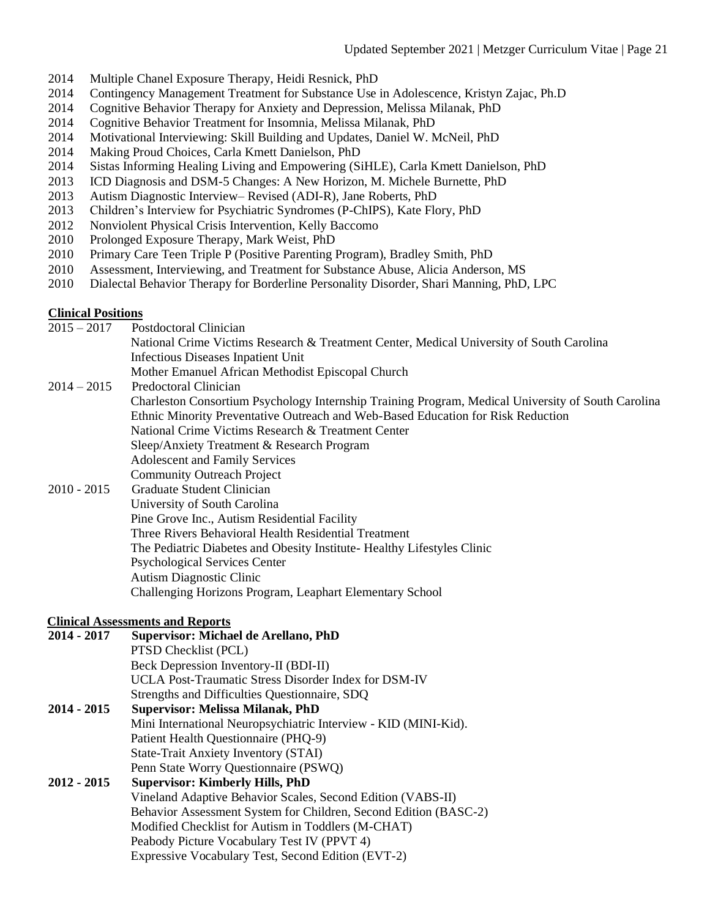- 2014 Multiple Chanel Exposure Therapy, Heidi Resnick, PhD
- 2014 Contingency Management Treatment for Substance Use in Adolescence, Kristyn Zajac, Ph.D
- 2014 Cognitive Behavior Therapy for Anxiety and Depression, Melissa Milanak, PhD
- 2014 Cognitive Behavior Treatment for Insomnia, Melissa Milanak, PhD
- 2014 Motivational Interviewing: Skill Building and Updates, Daniel W. McNeil, PhD
- 2014 Making Proud Choices, Carla Kmett Danielson, PhD
- 2014 Sistas Informing Healing Living and Empowering (SiHLE), Carla Kmett Danielson, PhD
- 2013 ICD Diagnosis and DSM-5 Changes: A New Horizon, M. Michele Burnette, PhD
- 2013 Autism Diagnostic Interview– Revised (ADI-R), Jane Roberts, PhD
- 2013 Children's Interview for Psychiatric Syndromes (P-ChIPS), Kate Flory, PhD
- 2012 Nonviolent Physical Crisis Intervention, Kelly Baccomo
- 2010 Prolonged Exposure Therapy, Mark Weist, PhD
- 2010 Primary Care Teen Triple P (Positive Parenting Program), Bradley Smith, PhD
- 2010 Assessment, Interviewing, and Treatment for Substance Abuse, Alicia Anderson, MS
- 2010 Dialectal Behavior Therapy for Borderline Personality Disorder, Shari Manning, PhD, LPC

### **Clinical Positions**

2015 – 2017 Postdoctoral Clinician National Crime Victims Research & Treatment Center, Medical University of South Carolina Infectious Diseases Inpatient Unit Mother Emanuel African Methodist Episcopal Church 2014 – 2015 Predoctoral Clinician Charleston Consortium Psychology Internship Training Program, Medical University of South Carolina Ethnic Minority Preventative Outreach and Web-Based Education for Risk Reduction National Crime Victims Research & Treatment Center Sleep/Anxiety Treatment & Research Program Adolescent and Family Services Community Outreach Project 2010 - 2015 Graduate Student Clinician University of South Carolina Pine Grove Inc., Autism Residential Facility Three Rivers Behavioral Health Residential Treatment

The Pediatric Diabetes and Obesity Institute- Healthy Lifestyles Clinic

- Psychological Services Center
- Autism Diagnostic Clinic
- Challenging Horizons Program, Leaphart Elementary School

# **Clinical Assessments and Reports**

# **2014 - 2017 Supervisor: Michael de Arellano, PhD**

PTSD Checklist (PCL) Beck Depression Inventory-II (BDI-II) UCLA Post-Traumatic Stress Disorder Index for DSM-IV Strengths and Difficulties Questionnaire, SDQ

**2014 - 2015 Supervisor: Melissa Milanak, PhD** Mini International Neuropsychiatric Interview - KID (MINI-Kid). Patient Health Questionnaire (PHQ-9) State-Trait Anxiety Inventory (STAI) Penn State Worry Questionnaire (PSWQ)

# **2012 - 2015 Supervisor: Kimberly Hills, PhD** Vineland Adaptive Behavior Scales, Second Edition (VABS-II) Behavior Assessment System for Children, Second Edition (BASC-2) Modified Checklist for Autism in Toddlers (M-CHAT) Peabody Picture Vocabulary Test IV (PPVT 4) Expressive Vocabulary Test, Second Edition (EVT-2)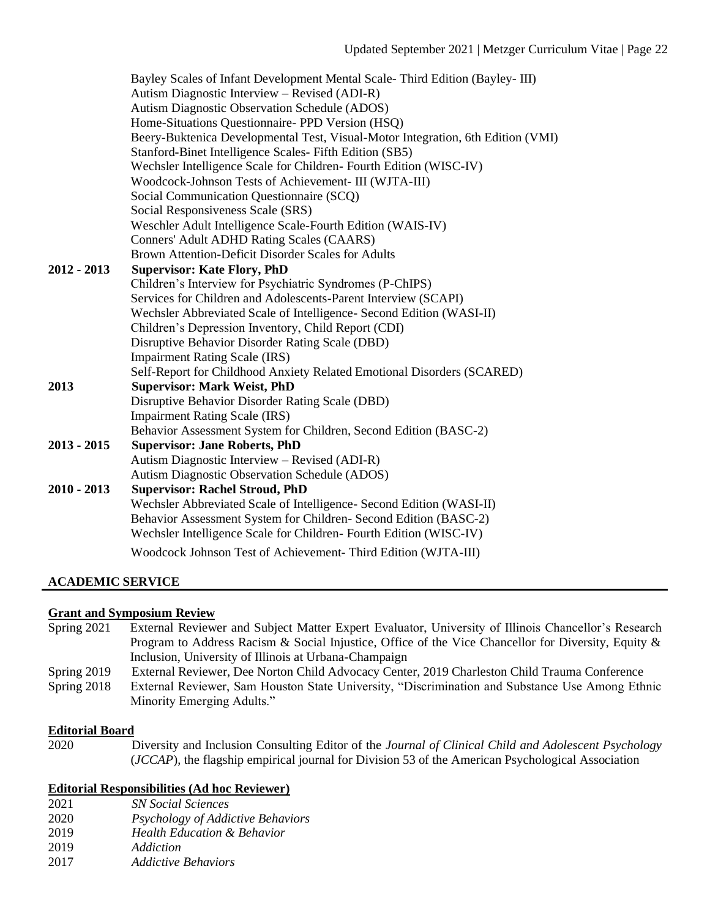|             | Bayley Scales of Infant Development Mental Scale-Third Edition (Bayley-III)<br>Autism Diagnostic Interview – Revised (ADI-R) |
|-------------|------------------------------------------------------------------------------------------------------------------------------|
|             | Autism Diagnostic Observation Schedule (ADOS)                                                                                |
|             | Home-Situations Questionnaire- PPD Version (HSQ)                                                                             |
|             | Beery-Buktenica Developmental Test, Visual-Motor Integration, 6th Edition (VMI)                                              |
|             | Stanford-Binet Intelligence Scales- Fifth Edition (SB5)                                                                      |
|             | Wechsler Intelligence Scale for Children-Fourth Edition (WISC-IV)                                                            |
|             | Woodcock-Johnson Tests of Achievement- III (WJTA-III)                                                                        |
|             | Social Communication Questionnaire (SCQ)                                                                                     |
|             | Social Responsiveness Scale (SRS)                                                                                            |
|             | Weschler Adult Intelligence Scale-Fourth Edition (WAIS-IV)                                                                   |
|             | Conners' Adult ADHD Rating Scales (CAARS)                                                                                    |
|             | Brown Attention-Deficit Disorder Scales for Adults                                                                           |
| 2012 - 2013 | <b>Supervisor: Kate Flory, PhD</b>                                                                                           |
|             | Children's Interview for Psychiatric Syndromes (P-ChIPS)                                                                     |
|             | Services for Children and Adolescents-Parent Interview (SCAPI)                                                               |
|             | Wechsler Abbreviated Scale of Intelligence- Second Edition (WASI-II)                                                         |
|             | Children's Depression Inventory, Child Report (CDI)                                                                          |
|             | Disruptive Behavior Disorder Rating Scale (DBD)                                                                              |
|             | <b>Impairment Rating Scale (IRS)</b>                                                                                         |
|             | Self-Report for Childhood Anxiety Related Emotional Disorders (SCARED)                                                       |
| 2013        | <b>Supervisor: Mark Weist, PhD</b>                                                                                           |
|             | Disruptive Behavior Disorder Rating Scale (DBD)                                                                              |
|             | <b>Impairment Rating Scale (IRS)</b>                                                                                         |
|             | Behavior Assessment System for Children, Second Edition (BASC-2)                                                             |
| 2013 - 2015 | <b>Supervisor: Jane Roberts, PhD</b>                                                                                         |
|             | Autism Diagnostic Interview – Revised (ADI-R)                                                                                |
|             | Autism Diagnostic Observation Schedule (ADOS)                                                                                |
| 2010 - 2013 | <b>Supervisor: Rachel Stroud, PhD</b>                                                                                        |
|             | Wechsler Abbreviated Scale of Intelligence- Second Edition (WASI-II)                                                         |
|             | Behavior Assessment System for Children- Second Edition (BASC-2)                                                             |
|             | Wechsler Intelligence Scale for Children-Fourth Edition (WISC-IV)                                                            |
|             | Woodcock Johnson Test of Achievement- Third Edition (WJTA-III)                                                               |
|             |                                                                                                                              |

# **ACADEMIC SERVICE**

# **Grant and Symposium Review**

| Spring $2021$ | External Reviewer and Subject Matter Expert Evaluator, University of Illinois Chancellor's Research |
|---------------|-----------------------------------------------------------------------------------------------------|
|               | Program to Address Racism & Social Injustice, Office of the Vice Chancellor for Diversity, Equity & |
|               | Inclusion, University of Illinois at Urbana-Champaign                                               |
| Spring $2019$ | External Reviewer, Dee Norton Child Advocacy Center, 2019 Charleston Child Trauma Conference        |
| Spring $2018$ | External Reviewer, Sam Houston State University, "Discrimination and Substance Use Among Ethnic     |
|               | Minority Emerging Adults."                                                                          |

### **Editorial Board**

2020 Diversity and Inclusion Consulting Editor of the *Journal of Clinical Child and Adolescent Psychology* (*JCCAP*), the flagship empirical journal for Division 53 of the American Psychological Association

# **Editorial Responsibilities (Ad hoc Reviewer)**

- 2021 *SN Social Sciences*
- 2020 *Psychology of Addictive Behaviors*
- 2019 *Health Education & Behavior*
- 2019 *Addiction*
- 2017 *Addictive Behaviors*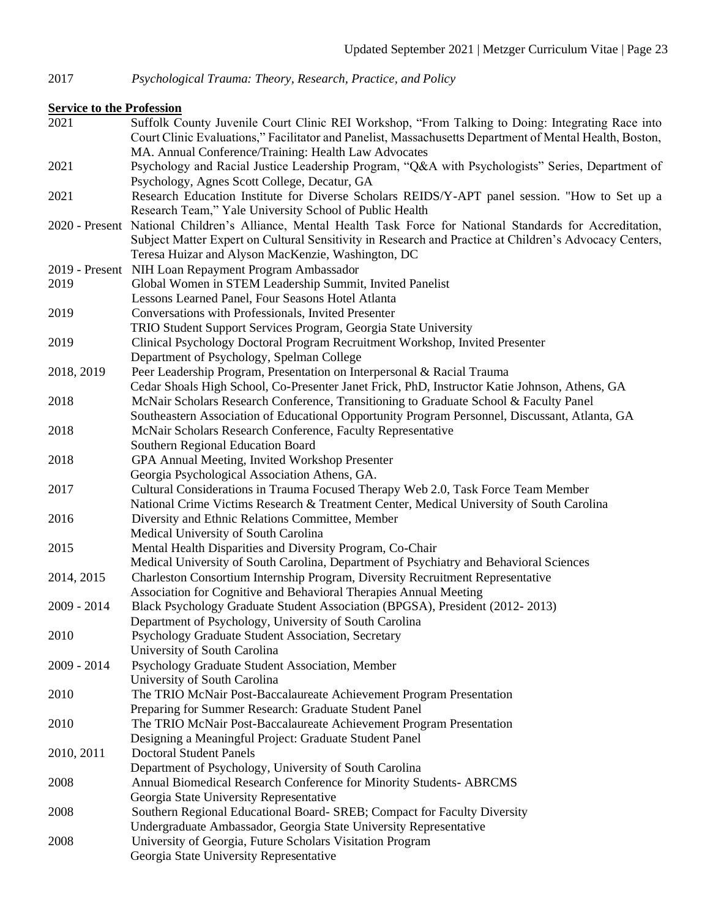2017 *Psychological Trauma: Theory, Research, Practice, and Policy*

# **Service to the Profession**

2021 Suffolk County Juvenile Court Clinic REI Workshop, "From Talking to Doing: Integrating Race into Court Clinic Evaluations," Facilitator and Panelist, Massachusetts Department of Mental Health, Boston, MA. Annual Conference/Training: Health Law Advocates 2021 Psychology and Racial Justice Leadership Program, "Q&A with Psychologists" Series, Department of Psychology, Agnes Scott College, Decatur, GA 2021 Research Education Institute for Diverse Scholars REIDS/Y-APT panel session. "How to Set up a Research Team," Yale University School of Public Health 2020 - Present National Children's Alliance, Mental Health Task Force for National Standards for Accreditation, Subject Matter Expert on Cultural Sensitivity in Research and Practice at Children's Advocacy Centers, Teresa Huizar and Alyson MacKenzie, Washington, DC 2019 - Present NIH Loan Repayment Program Ambassador 2019 Global Women in STEM Leadership Summit, Invited Panelist Lessons Learned Panel, Four Seasons Hotel Atlanta 2019 Conversations with Professionals, Invited Presenter TRIO Student Support Services Program, Georgia State University 2019 Clinical Psychology Doctoral Program Recruitment Workshop, Invited Presenter Department of Psychology, Spelman College 2018, 2019 Peer Leadership Program, Presentation on Interpersonal & Racial Trauma Cedar Shoals High School, Co-Presenter Janet Frick, PhD, Instructor Katie Johnson, Athens, GA 2018 McNair Scholars Research Conference, Transitioning to Graduate School & Faculty Panel Southeastern Association of Educational Opportunity Program Personnel, Discussant, Atlanta, GA 2018 McNair Scholars Research Conference, Faculty Representative Southern Regional Education Board 2018 GPA Annual Meeting, Invited Workshop Presenter Georgia Psychological Association Athens, GA. 2017 Cultural Considerations in Trauma Focused Therapy Web 2.0, Task Force Team Member National Crime Victims Research & Treatment Center, Medical University of South Carolina 2016 Diversity and Ethnic Relations Committee, Member Medical University of South Carolina 2015 Mental Health Disparities and Diversity Program, Co-Chair Medical University of South Carolina, Department of Psychiatry and Behavioral Sciences 2014, 2015 Charleston Consortium Internship Program, Diversity Recruitment Representative Association for Cognitive and Behavioral Therapies Annual Meeting 2009 - 2014 Black Psychology Graduate Student Association (BPGSA), President (2012- 2013) Department of Psychology, University of South Carolina 2010 Psychology Graduate Student Association, Secretary University of South Carolina 2009 - 2014 Psychology Graduate Student Association, Member University of South Carolina 2010 The TRIO McNair Post-Baccalaureate Achievement Program Presentation Preparing for Summer Research: Graduate Student Panel 2010 The TRIO McNair Post-Baccalaureate Achievement Program Presentation Designing a Meaningful Project: Graduate Student Panel 2010, 2011 Doctoral Student Panels Department of Psychology, University of South Carolina 2008 Annual Biomedical Research Conference for Minority Students- ABRCMS Georgia State University Representative 2008 Southern Regional Educational Board- SREB; Compact for Faculty Diversity Undergraduate Ambassador, Georgia State University Representative 2008 University of Georgia, Future Scholars Visitation Program Georgia State University Representative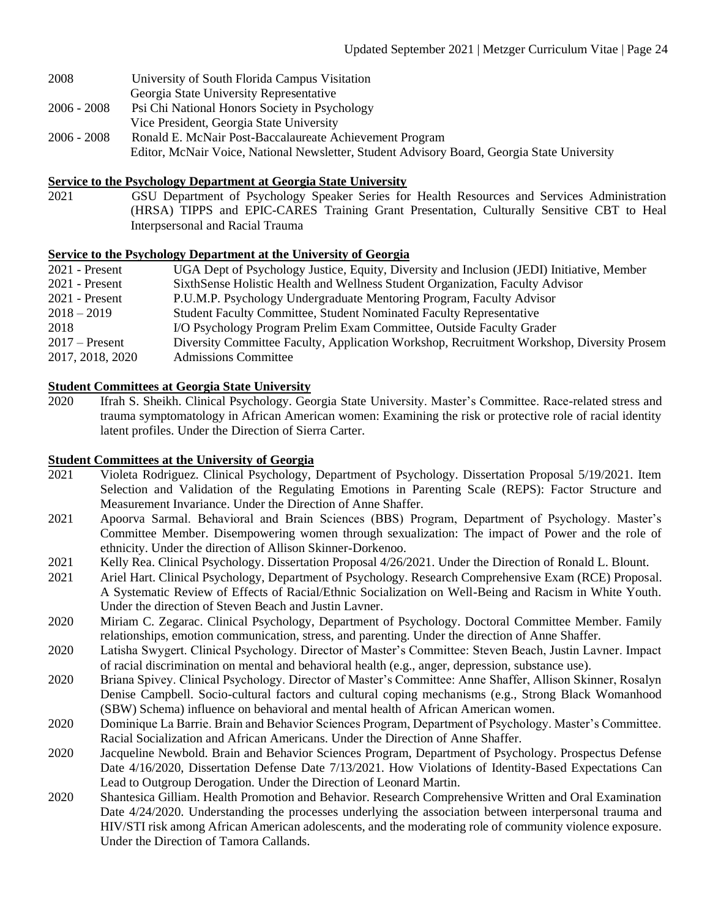- 2008 University of South Florida Campus Visitation
- Georgia State University Representative
- 2006 2008 Psi Chi National Honors Society in Psychology Vice President, Georgia State University
- 2006 2008 Ronald E. McNair Post-Baccalaureate Achievement Program
	- Editor, McNair Voice, National Newsletter, Student Advisory Board, Georgia State University

# **Service to the Psychology Department at Georgia State University**

2021 GSU Department of Psychology Speaker Series for Health Resources and Services Administration (HRSA) TIPPS and EPIC-CARES Training Grant Presentation, Culturally Sensitive CBT to Heal Interpsersonal and Racial Trauma

# **Service to the Psychology Department at the University of Georgia**

| $2021$ - Present | UGA Dept of Psychology Justice, Equity, Diversity and Inclusion (JEDI) Initiative, Member |
|------------------|-------------------------------------------------------------------------------------------|
| $2021$ - Present | SixthSense Holistic Health and Wellness Student Organization, Faculty Advisor             |
| $2021$ - Present | P.U.M.P. Psychology Undergraduate Mentoring Program, Faculty Advisor                      |
| $2018 - 2019$    | <b>Student Faculty Committee, Student Nominated Faculty Representative</b>                |
| 2018             | I/O Psychology Program Prelim Exam Committee, Outside Faculty Grader                      |
| $2017$ – Present | Diversity Committee Faculty, Application Workshop, Recruitment Workshop, Diversity Prosem |
| 2017, 2018, 2020 | <b>Admissions Committee</b>                                                               |

# **Student Committees at Georgia State University**

2020 Ifrah S. Sheikh. Clinical Psychology. Georgia State University. Master's Committee. Race-related stress and trauma symptomatology in African American women: Examining the risk or protective role of racial identity latent profiles. Under the Direction of Sierra Carter.

# **Student Committees at the University of Georgia**

- 2021 Violeta Rodriguez. Clinical Psychology, Department of Psychology. Dissertation Proposal 5/19/2021. Item Selection and Validation of the Regulating Emotions in Parenting Scale (REPS): Factor Structure and Measurement Invariance. Under the Direction of Anne Shaffer.
- 2021 Apoorva Sarmal. Behavioral and Brain Sciences (BBS) Program, Department of Psychology. Master's Committee Member. Disempowering women through sexualization: The impact of Power and the role of ethnicity. Under the direction of Allison Skinner-Dorkenoo.
- 2021 Kelly Rea. Clinical Psychology. Dissertation Proposal 4/26/2021. Under the Direction of Ronald L. Blount.
- 2021 Ariel Hart. Clinical Psychology, Department of Psychology. Research Comprehensive Exam (RCE) Proposal. A Systematic Review of Effects of Racial/Ethnic Socialization on Well-Being and Racism in White Youth. Under the direction of Steven Beach and Justin Lavner.
- 2020 Miriam C. Zegarac. Clinical Psychology, Department of Psychology. Doctoral Committee Member. Family relationships, emotion communication, stress, and parenting. Under the direction of Anne Shaffer.
- 2020 Latisha Swygert. Clinical Psychology. Director of Master's Committee: Steven Beach, Justin Lavner. Impact of racial discrimination on mental and behavioral health (e.g., anger, depression, substance use).
- 2020 Briana Spivey. Clinical Psychology. Director of Master's Committee: Anne Shaffer, Allison Skinner, Rosalyn Denise Campbell. Socio-cultural factors and cultural coping mechanisms (e.g., Strong Black Womanhood (SBW) Schema) influence on behavioral and mental health of African American women.
- 2020 Dominique La Barrie. Brain and Behavior Sciences Program, Department of Psychology. Master's Committee. Racial Socialization and African Americans. Under the Direction of Anne Shaffer.
- 2020 Jacqueline Newbold. Brain and Behavior Sciences Program, Department of Psychology. Prospectus Defense Date 4/16/2020, Dissertation Defense Date 7/13/2021. How Violations of Identity-Based Expectations Can Lead to Outgroup Derogation. Under the Direction of Leonard Martin.
- 2020 Shantesica Gilliam. Health Promotion and Behavior. Research Comprehensive Written and Oral Examination Date  $4/24/2020$ . Understanding the processes underlying the association between interpersonal trauma and HIV/STI risk among African American adolescents, and the moderating role of community violence exposure. Under the Direction of Tamora Callands.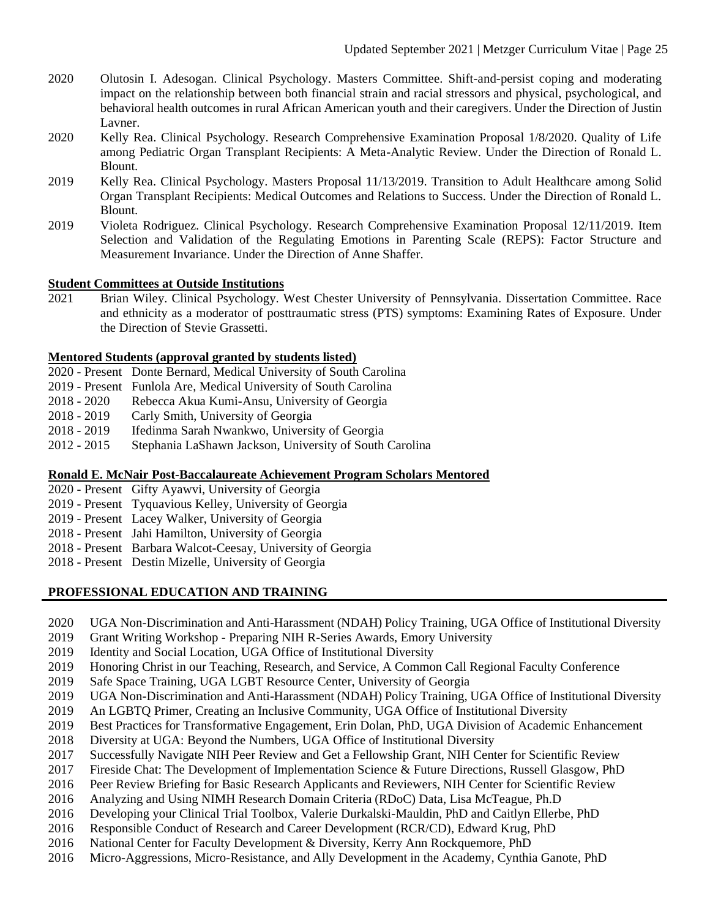- 2020 Olutosin I. Adesogan. Clinical Psychology. Masters Committee. Shift-and-persist coping and moderating impact on the relationship between both financial strain and racial stressors and physical, psychological, and behavioral health outcomes in rural African American youth and their caregivers. Under the Direction of Justin Lavner.
- 2020 Kelly Rea. Clinical Psychology. Research Comprehensive Examination Proposal 1/8/2020. Quality of Life among Pediatric Organ Transplant Recipients: A Meta-Analytic Review. Under the Direction of Ronald L. Blount.
- 2019 Kelly Rea. Clinical Psychology. Masters Proposal 11/13/2019. Transition to Adult Healthcare among Solid Organ Transplant Recipients: Medical Outcomes and Relations to Success. Under the Direction of Ronald L. Blount.
- 2019 Violeta Rodriguez. Clinical Psychology. Research Comprehensive Examination Proposal 12/11/2019. Item Selection and Validation of the Regulating Emotions in Parenting Scale (REPS): Factor Structure and Measurement Invariance. Under the Direction of Anne Shaffer.

# **Student Committees at Outside Institutions**

2021 Brian Wiley. Clinical Psychology. West Chester University of Pennsylvania. Dissertation Committee. Race and ethnicity as a moderator of posttraumatic stress (PTS) symptoms: Examining Rates of Exposure. Under the Direction of Stevie Grassetti.

# **Mentored Students (approval granted by students listed)**

- 2020 Present Donte Bernard, Medical University of South Carolina
- 2019 Present Funlola Are, Medical University of South Carolina
- 2018 2020 Rebecca Akua Kumi-Ansu, University of Georgia
- 2018 2019 Carly Smith, University of Georgia
- 2018 2019 Ifedinma Sarah Nwankwo, University of Georgia
- 2012 2015 Stephania LaShawn Jackson, University of South Carolina

# **Ronald E. McNair Post-Baccalaureate Achievement Program Scholars Mentored**

- 2020 Present Gifty Ayawvi, University of Georgia
- 2019 Present Tyquavious Kelley, University of Georgia
- 2019 Present Lacey Walker, University of Georgia
- 2018 Present Jahi Hamilton, University of Georgia
- 2018 Present Barbara Walcot-Ceesay, University of Georgia
- 2018 Present Destin Mizelle, University of Georgia

# **PROFESSIONAL EDUCATION AND TRAINING**

- 2020 UGA Non-Discrimination and Anti-Harassment (NDAH) Policy Training, UGA Office of Institutional Diversity
- 2019 Grant Writing Workshop Preparing NIH R-Series Awards, Emory University
- 2019 Identity and Social Location, UGA Office of Institutional Diversity
- 2019 Honoring Christ in our Teaching, Research, and Service, A Common Call Regional Faculty Conference
- 2019 Safe Space Training, UGA LGBT Resource Center, University of Georgia
- 2019 UGA Non-Discrimination and Anti-Harassment (NDAH) Policy Training, UGA Office of Institutional Diversity
- 2019 An LGBTQ Primer, Creating an Inclusive Community, UGA Office of Institutional Diversity
- 2019 Best Practices for Transformative Engagement, Erin Dolan, PhD, UGA Division of Academic Enhancement
- 2018 Diversity at UGA: Beyond the Numbers, UGA Office of Institutional Diversity
- 2017 Successfully Navigate NIH Peer Review and Get a Fellowship Grant, NIH Center for Scientific Review
- 2017 Fireside Chat: The Development of Implementation Science & Future Directions, Russell Glasgow, PhD
- 2016 Peer Review Briefing for Basic Research Applicants and Reviewers, NIH Center for Scientific Review
- 2016 Analyzing and Using NIMH Research Domain Criteria (RDoC) Data, Lisa McTeague, Ph.D
- 2016 Developing your Clinical Trial Toolbox, Valerie Durkalski-Mauldin, PhD and Caitlyn Ellerbe, PhD
- 2016 Responsible Conduct of Research and Career Development (RCR/CD), Edward Krug, PhD
- 2016 National Center for Faculty Development & Diversity, Kerry Ann Rockquemore, PhD
- 2016 Micro-Aggressions, Micro-Resistance, and Ally Development in the Academy, Cynthia Ganote, PhD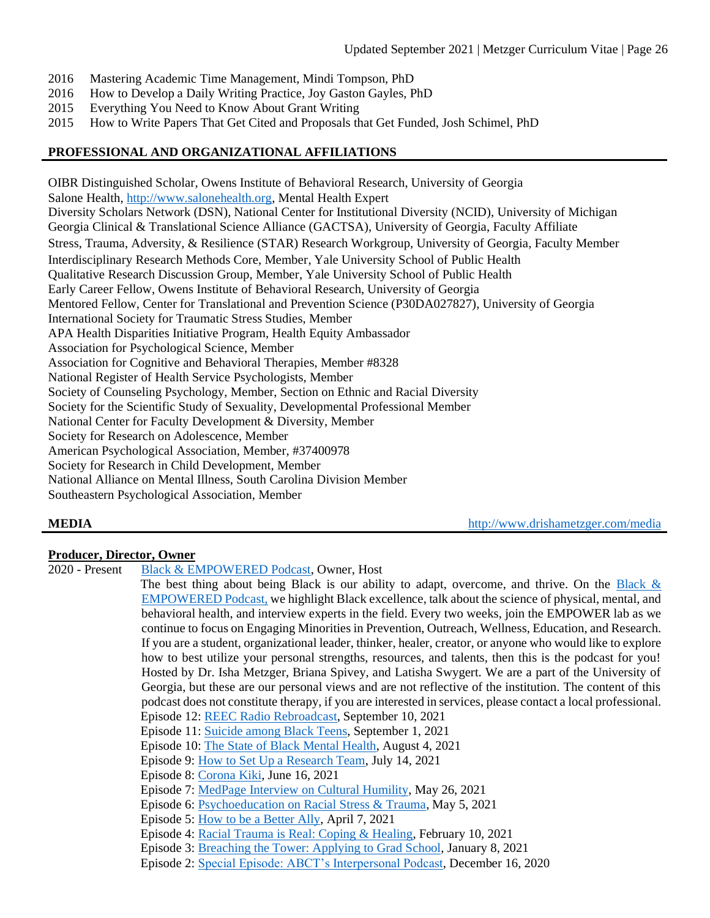- 2016 Mastering Academic Time Management, Mindi Tompson, PhD
- 2016 How to Develop a Daily Writing Practice, Joy Gaston Gayles, PhD
- 2015 Everything You Need to Know About Grant Writing
- 2015 How to Write Papers That Get Cited and Proposals that Get Funded, Josh Schimel, PhD

# **PROFESSIONAL AND ORGANIZATIONAL AFFILIATIONS**

OIBR Distinguished Scholar, Owens Institute of Behavioral Research, University of Georgia Salone Health, [http://www.salonehealth.org,](http://www.salonehealth.org/) Mental Health Expert Diversity Scholars Network (DSN), National Center for Institutional Diversity (NCID), University of Michigan Georgia Clinical & Translational Science Alliance (GACTSA), University of Georgia, Faculty Affiliate Stress, Trauma, Adversity, & Resilience (STAR) Research Workgroup, University of Georgia, Faculty Member Interdisciplinary Research Methods Core, Member, Yale University School of Public Health Qualitative Research Discussion Group, Member, Yale University School of Public Health Early Career Fellow, Owens Institute of Behavioral Research, University of Georgia Mentored Fellow, Center for Translational and Prevention Science (P30DA027827), University of Georgia International Society for Traumatic Stress Studies, Member APA Health Disparities Initiative Program, Health Equity Ambassador Association for Psychological Science, Member Association for Cognitive and Behavioral Therapies, Member #8328 National Register of Health Service Psychologists, Member Society of Counseling Psychology, Member, Section on Ethnic and Racial Diversity Society for the Scientific Study of Sexuality, Developmental Professional Member National Center for Faculty Development & Diversity, Member Society for Research on Adolescence, Member American Psychological Association, Member, #37400978 Society for Research in Child Development, Member National Alliance on Mental Illness, South Carolina Division Member Southeastern Psychological Association, Member

**MEDIA** <http://www.drishametzger.com/media>

# **Producer, Director, Owner**

2020 - Present [Black & EMPOWERED Podcast,](https://blackandempowered.podbean.com/) Owner, Host

The best thing about being Black is our ability to adapt, overcome, and thrive. On the Black  $\&$ [EMPOWERED Podcast,](http://www.drishametzger.com/podcast) we highlight Black excellence, talk about the science of physical, mental, and behavioral health, and interview experts in the field. Every two weeks, join the EMPOWER lab as we continue to focus on Engaging Minorities in Prevention, Outreach, Wellness, Education, and Research. If you are a student, organizational leader, thinker, healer, creator, or anyone who would like to explore how to best utilize your personal strengths, resources, and talents, then this is the podcast for you! Hosted by Dr. Isha Metzger, Briana Spivey, and Latisha Swygert. We are a part of the University of Georgia, but these are our personal views and are not reflective of the institution. The content of this podcast does not constitute therapy, if you are interested in services, please contact a local professional. Episode 12: [REEC Radio Rebroadcast,](https://blackandempowered.podbean.com/e/reec-radio-rebroadcast/) September 10, 2021 Episode 11: [Suicide among Black Teens,](https://blackandempowered.podbean.com/e/suicidality-among-black-teens-interview-with-dr-isha-metzger/) September 1, 2021 Episode 10: [The State of Black Mental Health,](https://blackandempowered.podbean.com/e/the-state-of-black-mental-health/) August 4, 2021 Episode 9[: How to Set Up a Research Team,](https://blackandempowered.podbean.com/e/how-to-set-up-a-research-team/) July 14, 2021 Episode 8[: Corona Kiki,](https://blackandempowered.podbean.com/e/corona-kiki/) June 16, 2021 Episode 7[: MedPage Interview on Cultural Humility,](https://blackandempowered.podbean.com/e/medpage-interview-on-cultural-humility/) May 26, 2021 Episode 6[: Psychoeducation on Racial Stress & Trauma,](https://blackandempowered.podbean.com/e/psychoeducation-on-racial-stress-trauma/) May 5, 2021 Episode 5[: How to be a Better Ally,](https://blackandempowered.podbean.com/e/how-to-be-a-better-ally/) April 7, 2021 Episode 4[: Racial Trauma is Real: Coping & Healing,](https://blackandempowered.podbean.com/e/racial-trauma-is-real-coping-healing/) February 10, 2021 Episode 3[: Breaching the Tower: Applying to Grad School,](https://blackandempowered.podbean.com/e/breaching-the-tower-applying-to-grad-school/) January 8, 2021

Episode 2[: Special Episode: ABCT's Interpersonal Podcast,](https://blackandempowered.podbean.com/e/special-guest-episode-abcts-interpersonal-podcast/) December 16, 2020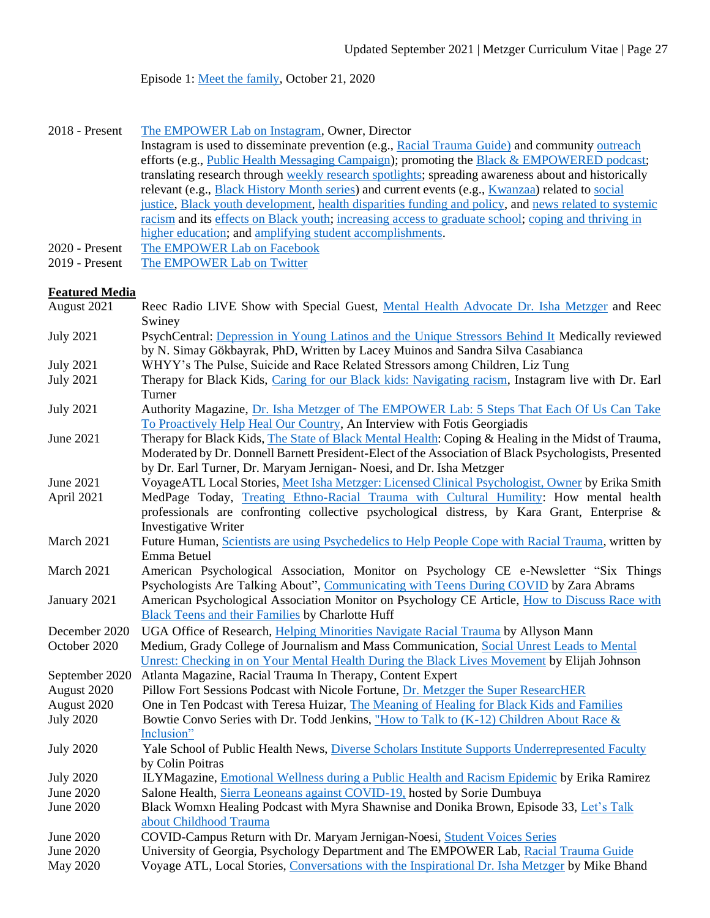Episode 1[: Meet the family,](https://blackandempowered.podbean.com/e/meet-the-family-1603289864/) October 21, 2020

- 2018 Present [The EMPOWER Lab on Instagram,](http://www.instagram.com/theempowerlab) Owner, Director Instagram is used to disseminate prevention (e.g., [Racial Trauma Guide\)](https://www.instagram.com/p/CBorNDLAO47/) and communit[y outreach](http://www.drishametzger.com/outreach) efforts (e.g., [Public Health Messaging Campaign\)](https://www.instagram.com/p/CMNOmZmguvO/); promoting the [Black & EMPOWERED podcast;](https://www.instagram.com/p/CLUiswEgryy/) translating research through [weekly research spotlights;](https://www.instagram.com/p/CMnIMTVATr2/) spreading awareness about and historically relevant (e.g.[, Black History Month series\)](https://www.instagram.com/p/CKw3VNmgN_J/) and current events (e.g., [Kwanzaa\)](https://www.instagram.com/p/CJZZ4GHgLWt/) related to [social](https://www.instagram.com/p/CL2zcWgAfFK/)  [justice,](https://www.instagram.com/p/CL2zcWgAfFK/) [Black youth development,](https://www.instagram.com/p/CH-nQJgAZmg/) [health disparities funding and policy,](https://www.instagram.com/p/CMxZ0IQgnw4/) and [news related to systemic](https://www.instagram.com/p/CKj9NdcA0oO/)  [racism](https://www.instagram.com/p/CKj9NdcA0oO/) and its [effects on Black youth;](https://www.instagram.com/p/CH-nQJgAZmg/) [increasing access to graduate school;](https://www.instagram.com/tv/CMk6_JNgkfK/) [coping and thriving in](https://www.instagram.com/tv/CKub2xZlJOf/)  [higher education;](https://www.instagram.com/tv/CKub2xZlJOf/) an[d amplifying student accomplishments.](https://www.instagram.com/p/CNIevAog0hx/) 2020 - Present [The EMPOWER Lab on Facebook](https://www.facebook.com/TheEMPOWERlab1)
- 2019 Present [The EMPOWER Lab on Twitter](https://twitter.com/TheEMPOWERLab)

### **Featured Media**

| August 2021      | Reec Radio LIVE Show with Special Guest, Mental Health Advocate Dr. Isha Metzger and Reec             |
|------------------|-------------------------------------------------------------------------------------------------------|
|                  | Swiney                                                                                                |
| <b>July 2021</b> | PsychCentral: Depression in Young Latinos and the Unique Stressors Behind It Medically reviewed       |
|                  | by N. Simay Gökbayrak, PhD, Written by Lacey Muinos and Sandra Silva Casabianca                       |
| <b>July 2021</b> | WHYY's The Pulse, Suicide and Race Related Stressors among Children, Liz Tung                         |
| <b>July 2021</b> | Therapy for Black Kids, Caring for our Black kids: Navigating racism, Instagram live with Dr. Earl    |
|                  | Turner                                                                                                |
| <b>July 2021</b> | Authority Magazine, Dr. Isha Metzger of The EMPOWER Lab: 5 Steps That Each Of Us Can Take             |
|                  | To Proactively Help Heal Our Country, An Interview with Fotis Georgiadis                              |
| June 2021        | Therapy for Black Kids, The State of Black Mental Health: Coping & Healing in the Midst of Trauma,    |
|                  | Moderated by Dr. Donnell Barnett President-Elect of the Association of Black Psychologists, Presented |
|                  | by Dr. Earl Turner, Dr. Maryam Jernigan- Noesi, and Dr. Isha Metzger                                  |
| June 2021        | VoyageATL Local Stories, Meet Isha Metzger: Licensed Clinical Psychologist, Owner by Erika Smith      |
| April 2021       | MedPage Today, Treating Ethno-Racial Trauma with Cultural Humility: How mental health                 |
|                  | professionals are confronting collective psychological distress, by Kara Grant, Enterprise $\&$       |
|                  | <b>Investigative Writer</b>                                                                           |
| March 2021       | Future Human, Scientists are using Psychedelics to Help People Cope with Racial Trauma, written by    |
|                  | Emma Betuel                                                                                           |
| March 2021       | American Psychological Association, Monitor on Psychology CE e-Newsletter "Six Things                 |
|                  | Psychologists Are Talking About", Communicating with Teens During COVID by Zara Abrams                |
| January 2021     | American Psychological Association Monitor on Psychology CE Article, How to Discuss Race with         |
|                  | <b>Black Teens and their Families by Charlotte Huff</b>                                               |
| December 2020    | UGA Office of Research, Helping Minorities Navigate Racial Trauma by Allyson Mann                     |
| October 2020     | Medium, Grady College of Journalism and Mass Communication, Social Unrest Leads to Mental             |
|                  | Unrest: Checking in on Your Mental Health During the Black Lives Movement by Elijah Johnson           |
| September 2020   | Atlanta Magazine, Racial Trauma In Therapy, Content Expert                                            |
| August 2020      | Pillow Fort Sessions Podcast with Nicole Fortune, Dr. Metzger the Super ResearcHER                    |
| August 2020      | One in Ten Podcast with Teresa Huizar, The Meaning of Healing for Black Kids and Families             |
| <b>July 2020</b> | Bowtie Convo Series with Dr. Todd Jenkins, "How to Talk to $(K-12)$ Children About Race &             |
|                  | Inclusion"                                                                                            |
| <b>July 2020</b> | Yale School of Public Health News, Diverse Scholars Institute Supports Underrepresented Faculty       |
|                  | by Colin Poitras                                                                                      |
| <b>July 2020</b> | ILYMagazine, Emotional Wellness during a Public Health and Racism Epidemic by Erika Ramirez           |
| June 2020        | Salone Health, Sierra Leoneans against COVID-19, hosted by Sorie Dumbuya                              |
| <b>June 2020</b> | Black Womxn Healing Podcast with Myra Shawnise and Donika Brown, Episode 33, Let's Talk               |
|                  | about Childhood Trauma                                                                                |
| June 2020        | COVID-Campus Return with Dr. Maryam Jernigan-Noesi, Student Voices Series                             |
| June 2020        | University of Georgia, Psychology Department and The EMPOWER Lab, Racial Trauma Guide                 |
| May 2020         | Voyage ATL, Local Stories, Conversations with the Inspirational Dr. Isha Metzger by Mike Bhand        |